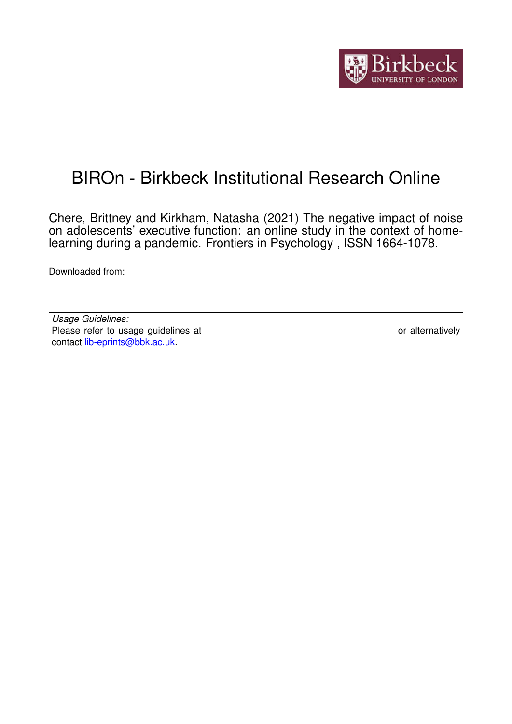

# BIROn - Birkbeck Institutional Research Online

Chere, Brittney and Kirkham, Natasha (2021) The negative impact of noise on adolescents' executive function: an online study in the context of homelearning during a pandemic. Frontiers in Psychology , ISSN 1664-1078.

Downloaded from: <https://eprints.bbk.ac.uk/id/eprint/45767/>

| Usage Guidelines:                                                           |                  |
|-----------------------------------------------------------------------------|------------------|
| Please refer to usage guidelines at https://eprints.bbk.ac.uk/policies.html | or alternatively |
| contact lib-eprints@bbk.ac.uk.                                              |                  |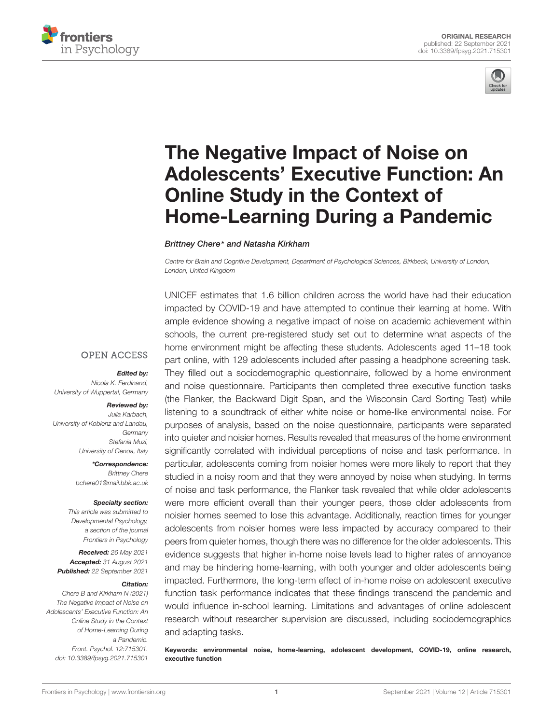



# The Negative Impact of Noise on [Adolescents' Executive Function: An](https://www.frontiersin.org/articles/10.3389/fpsyg.2021.715301/full) Online Study in the Context of Home-Learning During a Pandemic

Brittney Chere\* and Natasha Kirkham

Centre for Brain and Cognitive Development, Department of Psychological Sciences, Birkbeck, University of London, London, United Kingdom

UNICEF estimates that 1.6 billion children across the world have had their education impacted by COVID-19 and have attempted to continue their learning at home. With ample evidence showing a negative impact of noise on academic achievement within schools, the current pre-registered study set out to determine what aspects of the home environment might be affecting these students. Adolescents aged 11–18 took part online, with 129 adolescents included after passing a headphone screening task. They filled out a sociodemographic questionnaire, followed by a home environment and noise questionnaire. Participants then completed three executive function tasks (the Flanker, the Backward Digit Span, and the Wisconsin Card Sorting Test) while listening to a soundtrack of either white noise or home-like environmental noise. For purposes of analysis, based on the noise questionnaire, participants were separated into quieter and noisier homes. Results revealed that measures of the home environment significantly correlated with individual perceptions of noise and task performance. In particular, adolescents coming from noisier homes were more likely to report that they studied in a noisy room and that they were annoyed by noise when studying. In terms of noise and task performance, the Flanker task revealed that while older adolescents were more efficient overall than their younger peers, those older adolescents from noisier homes seemed to lose this advantage. Additionally, reaction times for younger adolescents from noisier homes were less impacted by accuracy compared to their peers from quieter homes, though there was no difference for the older adolescents. This evidence suggests that higher in-home noise levels lead to higher rates of annoyance and may be hindering home-learning, with both younger and older adolescents being impacted. Furthermore, the long-term effect of in-home noise on adolescent executive function task performance indicates that these findings transcend the pandemic and would influence in-school learning. Limitations and advantages of online adolescent research without researcher supervision are discussed, including sociodemographics and adapting tasks.

Keywords: environmental noise, home-learning, adolescent development, COVID-19, online research, executive function

#### **OPEN ACCESS**

Edited by:

Nicola K. Ferdinand, University of Wuppertal, Germany

#### Reviewed by:

Julia Karbach, University of Koblenz and Landau, Germany Stefania Muzi, University of Genoa, Italy

> \*Correspondence: Brittney Chere bchere01@mail.bbk.ac.uk

#### Specialty section:

This article was submitted to Developmental Psychology, a section of the journal Frontiers in Psychology

Received: 26 May 2021 Accepted: 31 August 2021 Published: 22 September 2021

#### Citation:

Chere B and Kirkham N (2021) The Negative Impact of Noise on Adolescents' Executive Function: An Online Study in the Context of Home-Learning During a Pandemic. Front. Psychol. 12:715301. doi: [10.3389/fpsyg.2021.715301](https://doi.org/10.3389/fpsyg.2021.715301)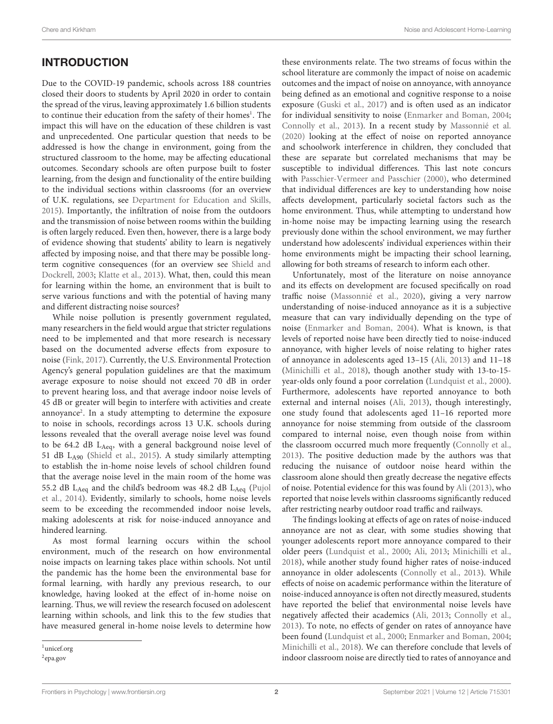# INTRODUCTION

Due to the COVID-19 pandemic, schools across 188 countries closed their doors to students by April 2020 in order to contain the spread of the virus, leaving approximately 1.6 billion students to continue their education from the safety of their homes<sup>[1](#page-2-0)</sup>. The impact this will have on the education of these children is vast and unprecedented. One particular question that needs to be addressed is how the change in environment, going from the structured classroom to the home, may be affecting educational outcomes. Secondary schools are often purpose built to foster learning, from the design and functionality of the entire building to the individual sections within classrooms (for an overview of U.K. regulations, see [Department for Education and Skills,](#page-15-0) [2015\)](#page-15-0). Importantly, the infiltration of noise from the outdoors and the transmission of noise between rooms within the building is often largely reduced. Even then, however, there is a large body of evidence showing that students' ability to learn is negatively affected by imposing noise, and that there may be possible longterm cognitive consequences (for an overview see [Shield and](#page-16-0) [Dockrell,](#page-16-0) [2003;](#page-16-0) [Klatte et al.,](#page-15-1) [2013\)](#page-15-1). What, then, could this mean for learning within the home, an environment that is built to serve various functions and with the potential of having many and different distracting noise sources?

While noise pollution is presently government regulated, many researchers in the field would argue that stricter regulations need to be implemented and that more research is necessary based on the documented adverse effects from exposure to noise [\(Fink,](#page-15-2) [2017\)](#page-15-2). Currently, the U.S. Environmental Protection Agency's general population guidelines are that the maximum average exposure to noise should not exceed 70 dB in order to prevent hearing loss, and that average indoor noise levels of 45 dB or greater will begin to interfere with activities and create annoyance<sup>[2](#page-2-1)</sup>. In a study attempting to determine the exposure to noise in schools, recordings across 13 U.K. schools during lessons revealed that the overall average noise level was found to be 64.2 dB L<sub>Aeq</sub>, with a general background noise level of 51 dB LA90 [\(Shield et al.,](#page-16-1) [2015\)](#page-16-1). A study similarly attempting to establish the in-home noise levels of school children found that the average noise level in the main room of the home was 55.2 dB L<sub>Aeq</sub> and the child's bedroom was 48.2 dB L<sub>Aeq</sub> [\(Pujol](#page-16-2) [et al.,](#page-16-2) [2014\)](#page-16-2). Evidently, similarly to schools, home noise levels seem to be exceeding the recommended indoor noise levels, making adolescents at risk for noise-induced annoyance and hindered learning.

As most formal learning occurs within the school environment, much of the research on how environmental noise impacts on learning takes place within schools. Not until the pandemic has the home been the environmental base for formal learning, with hardly any previous research, to our knowledge, having looked at the effect of in-home noise on learning. Thus, we will review the research focused on adolescent learning within schools, and link this to the few studies that have measured general in-home noise levels to determine how

these environments relate. The two streams of focus within the school literature are commonly the impact of noise on academic outcomes and the impact of noise on annoyance, with annoyance being defined as an emotional and cognitive response to a noise exposure [\(Guski et al.,](#page-15-3) [2017\)](#page-15-3) and is often used as an indicator for individual sensitivity to noise [\(Enmarker and Boman,](#page-15-4) [2004;](#page-15-4) [Connolly et al.,](#page-15-5) [2013\)](#page-15-5). In a recent study by [Massonnié et al.](#page-16-3) [\(2020\)](#page-16-3) looking at the effect of noise on reported annoyance and schoolwork interference in children, they concluded that these are separate but correlated mechanisms that may be susceptible to individual differences. This last note concurs with [Passchier-Vermeer and Passchier](#page-16-4) [\(2000\)](#page-16-4), who determined that individual differences are key to understanding how noise affects development, particularly societal factors such as the home environment. Thus, while attempting to understand how in-home noise may be impacting learning using the research previously done within the school environment, we may further understand how adolescents' individual experiences within their home environments might be impacting their school learning, allowing for both streams of research to inform each other.

Unfortunately, most of the literature on noise annoyance and its effects on development are focused specifically on road traffic noise [\(Massonnié et al.,](#page-16-3) [2020\)](#page-16-3), giving a very narrow understanding of noise-induced annoyance as it is a subjective measure that can vary individually depending on the type of noise [\(Enmarker and Boman,](#page-15-4) [2004\)](#page-15-4). What is known, is that levels of reported noise have been directly tied to noise-induced annoyance, with higher levels of noise relating to higher rates of annoyance in adolescents aged 13–15 [\(Ali,](#page-15-6) [2013\)](#page-15-6) and 11–18 [\(Minichilli et al.,](#page-16-5) [2018\)](#page-16-5), though another study with 13-to-15 year-olds only found a poor correlation [\(Lundquist et al.,](#page-15-7) [2000\)](#page-15-7). Furthermore, adolescents have reported annoyance to both external and internal noises [\(Ali,](#page-15-6) [2013\)](#page-15-6), though interestingly, one study found that adolescents aged 11–16 reported more annoyance for noise stemming from outside of the classroom compared to internal noise, even though noise from within the classroom occurred much more frequently [\(Connolly et al.,](#page-15-5) [2013\)](#page-15-5). The positive deduction made by the authors was that reducing the nuisance of outdoor noise heard within the classroom alone should then greatly decrease the negative effects of noise. Potential evidence for this was found by [Ali](#page-15-6) [\(2013\)](#page-15-6), who reported that noise levels within classrooms significantly reduced after restricting nearby outdoor road traffic and railways.

The findings looking at effects of age on rates of noise-induced annoyance are not as clear, with some studies showing that younger adolescents report more annoyance compared to their older peers [\(Lundquist et al.,](#page-15-7) [2000;](#page-15-7) [Ali,](#page-15-6) [2013;](#page-15-6) [Minichilli et al.,](#page-16-5) [2018\)](#page-16-5), while another study found higher rates of noise-induced annoyance in older adolescents [\(Connolly et al.,](#page-15-5) [2013\)](#page-15-5). While effects of noise on academic performance within the literature of noise-induced annoyance is often not directly measured, students have reported the belief that environmental noise levels have negatively affected their academics [\(Ali,](#page-15-6) [2013;](#page-15-6) [Connolly et al.,](#page-15-5) [2013\)](#page-15-5). To note, no effects of gender on rates of annoyance have been found [\(Lundquist et al.,](#page-15-7) [2000;](#page-15-7) [Enmarker and Boman,](#page-15-4) [2004;](#page-15-4) [Minichilli et al.,](#page-16-5) [2018\)](#page-16-5). We can therefore conclude that levels of indoor classroom noise are directly tied to rates of annoyance and

<span id="page-2-0"></span> $1$ [unicef.org](http://unicef.org)

<span id="page-2-1"></span><sup>2</sup> [epa.gov](http://epa.gov)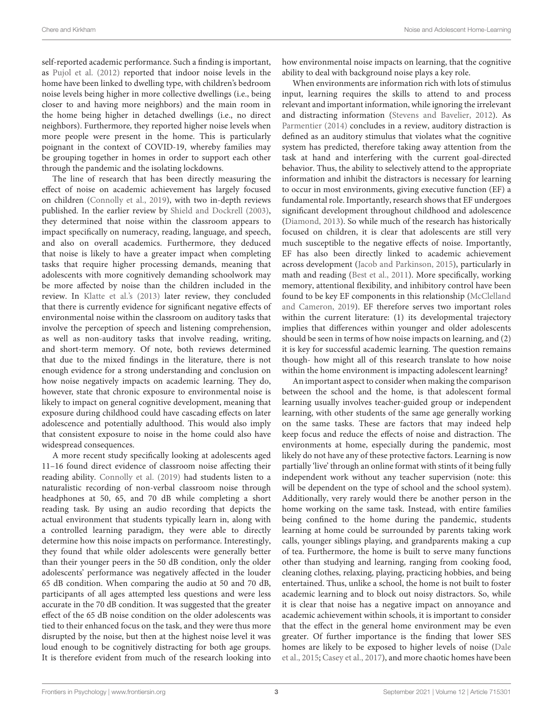self-reported academic performance. Such a finding is important, as [Pujol et al.](#page-16-6) [\(2012\)](#page-16-6) reported that indoor noise levels in the home have been linked to dwelling type, with children's bedroom noise levels being higher in more collective dwellings (i.e., being closer to and having more neighbors) and the main room in the home being higher in detached dwellings (i.e., no direct neighbors). Furthermore, they reported higher noise levels when more people were present in the home. This is particularly poignant in the context of COVID-19, whereby families may be grouping together in homes in order to support each other through the pandemic and the isolating lockdowns.

The line of research that has been directly measuring the effect of noise on academic achievement has largely focused on children [\(Connolly et al.,](#page-15-8) [2019\)](#page-15-8), with two in-depth reviews published. In the earlier review by [Shield and Dockrell](#page-16-0) [\(2003\)](#page-16-0), they determined that noise within the classroom appears to impact specifically on numeracy, reading, language, and speech, and also on overall academics. Furthermore, they deduced that noise is likely to have a greater impact when completing tasks that require higher processing demands, meaning that adolescents with more cognitively demanding schoolwork may be more affected by noise than the children included in the review. In [Klatte et al.'](#page-15-1)s [\(2013\)](#page-15-1) later review, they concluded that there is currently evidence for significant negative effects of environmental noise within the classroom on auditory tasks that involve the perception of speech and listening comprehension, as well as non-auditory tasks that involve reading, writing, and short-term memory. Of note, both reviews determined that due to the mixed findings in the literature, there is not enough evidence for a strong understanding and conclusion on how noise negatively impacts on academic learning. They do, however, state that chronic exposure to environmental noise is likely to impact on general cognitive development, meaning that exposure during childhood could have cascading effects on later adolescence and potentially adulthood. This would also imply that consistent exposure to noise in the home could also have widespread consequences.

A more recent study specifically looking at adolescents aged 11–16 found direct evidence of classroom noise affecting their reading ability. [Connolly et al.](#page-15-8) [\(2019\)](#page-15-8) had students listen to a naturalistic recording of non-verbal classroom noise through headphones at 50, 65, and 70 dB while completing a short reading task. By using an audio recording that depicts the actual environment that students typically learn in, along with a controlled learning paradigm, they were able to directly determine how this noise impacts on performance. Interestingly, they found that while older adolescents were generally better than their younger peers in the 50 dB condition, only the older adolescents' performance was negatively affected in the louder 65 dB condition. When comparing the audio at 50 and 70 dB, participants of all ages attempted less questions and were less accurate in the 70 dB condition. It was suggested that the greater effect of the 65 dB noise condition on the older adolescents was tied to their enhanced focus on the task, and they were thus more disrupted by the noise, but then at the highest noise level it was loud enough to be cognitively distracting for both age groups. It is therefore evident from much of the research looking into

how environmental noise impacts on learning, that the cognitive ability to deal with background noise plays a key role.

When environments are information rich with lots of stimulus input, learning requires the skills to attend to and process relevant and important information, while ignoring the irrelevant and distracting information [\(Stevens and Bavelier,](#page-16-7) [2012\)](#page-16-7). As [Parmentier](#page-16-8) [\(2014\)](#page-16-8) concludes in a review, auditory distraction is defined as an auditory stimulus that violates what the cognitive system has predicted, therefore taking away attention from the task at hand and interfering with the current goal-directed behavior. Thus, the ability to selectively attend to the appropriate information and inhibit the distractors is necessary for learning to occur in most environments, giving executive function (EF) a fundamental role. Importantly, research shows that EF undergoes significant development throughout childhood and adolescence [\(Diamond,](#page-15-9) [2013\)](#page-15-9). So while much of the research has historically focused on children, it is clear that adolescents are still very much susceptible to the negative effects of noise. Importantly, EF has also been directly linked to academic achievement across development [\(Jacob and Parkinson,](#page-15-10) [2015\)](#page-15-10), particularly in math and reading [\(Best et al.,](#page-15-11) [2011\)](#page-15-11). More specifically, working memory, attentional flexibility, and inhibitory control have been found to be key EF components in this relationship [\(McClelland](#page-16-9) [and Cameron,](#page-16-9) [2019\)](#page-16-9). EF therefore serves two important roles within the current literature: (1) its developmental trajectory implies that differences within younger and older adolescents should be seen in terms of how noise impacts on learning, and (2) it is key for successful academic learning. The question remains though- how might all of this research translate to how noise within the home environment is impacting adolescent learning?

An important aspect to consider when making the comparison between the school and the home, is that adolescent formal learning usually involves teacher-guided group or independent learning, with other students of the same age generally working on the same tasks. These are factors that may indeed help keep focus and reduce the effects of noise and distraction. The environments at home, especially during the pandemic, most likely do not have any of these protective factors. Learning is now partially 'live' through an online format with stints of it being fully independent work without any teacher supervision (note: this will be dependent on the type of school and the school system). Additionally, very rarely would there be another person in the home working on the same task. Instead, with entire families being confined to the home during the pandemic, students learning at home could be surrounded by parents taking work calls, younger siblings playing, and grandparents making a cup of tea. Furthermore, the home is built to serve many functions other than studying and learning, ranging from cooking food, cleaning clothes, relaxing, playing, practicing hobbies, and being entertained. Thus, unlike a school, the home is not built to foster academic learning and to block out noisy distractors. So, while it is clear that noise has a negative impact on annoyance and academic achievement within schools, it is important to consider that the effect in the general home environment may be even greater. Of further importance is the finding that lower SES homes are likely to be exposed to higher levels of noise [\(Dale](#page-15-12) [et al.,](#page-15-12) [2015;](#page-15-12) [Casey et al.,](#page-15-13) [2017\)](#page-15-13), and more chaotic homes have been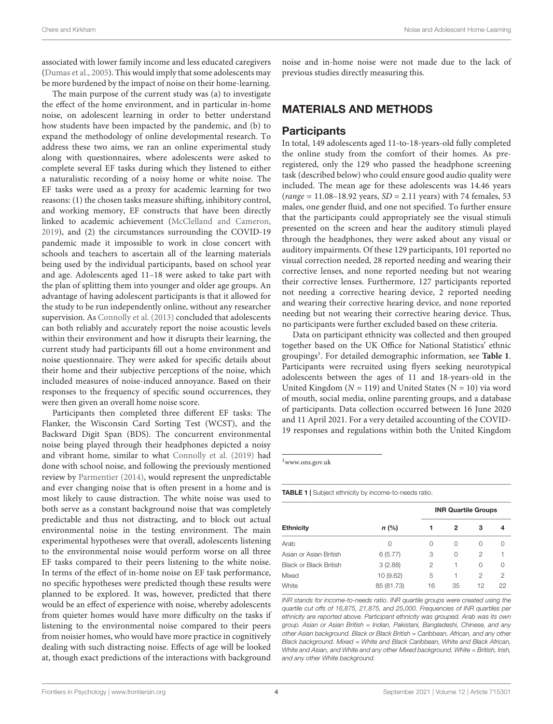associated with lower family income and less educated caregivers [\(Dumas et al.,](#page-15-14) [2005\)](#page-15-14). This would imply that some adolescents may be more burdened by the impact of noise on their home-learning.

The main purpose of the current study was (a) to investigate the effect of the home environment, and in particular in-home noise, on adolescent learning in order to better understand how students have been impacted by the pandemic, and (b) to expand the methodology of online developmental research. To address these two aims, we ran an online experimental study along with questionnaires, where adolescents were asked to complete several EF tasks during which they listened to either a naturalistic recording of a noisy home or white noise. The EF tasks were used as a proxy for academic learning for two reasons: (1) the chosen tasks measure shifting, inhibitory control, and working memory, EF constructs that have been directly linked to academic achievement [\(McClelland and Cameron,](#page-16-9) [2019\)](#page-16-9), and (2) the circumstances surrounding the COVID-19 pandemic made it impossible to work in close concert with schools and teachers to ascertain all of the learning materials being used by the individual participants, based on school year and age. Adolescents aged 11–18 were asked to take part with the plan of splitting them into younger and older age groups. An advantage of having adolescent participants is that it allowed for the study to be run independently online, without any researcher supervision. As [Connolly et al.](#page-15-5) [\(2013\)](#page-15-5) concluded that adolescents can both reliably and accurately report the noise acoustic levels within their environment and how it disrupts their learning, the current study had participants fill out a home environment and noise questionnaire. They were asked for specific details about their home and their subjective perceptions of the noise, which included measures of noise-induced annoyance. Based on their responses to the frequency of specific sound occurrences, they were then given an overall home noise score.

Participants then completed three different EF tasks: The Flanker, the Wisconsin Card Sorting Test (WCST), and the Backward Digit Span (BDS). The concurrent environmental noise being played through their headphones depicted a noisy and vibrant home, similar to what [Connolly et al.](#page-15-8) [\(2019\)](#page-15-8) had done with school noise, and following the previously mentioned review by [Parmentier](#page-16-8) [\(2014\)](#page-16-8), would represent the unpredictable and ever changing noise that is often present in a home and is most likely to cause distraction. The white noise was used to both serve as a constant background noise that was completely predictable and thus not distracting, and to block out actual environmental noise in the testing environment. The main experimental hypotheses were that overall, adolescents listening to the environmental noise would perform worse on all three EF tasks compared to their peers listening to the white noise. In terms of the effect of in-home noise on EF task performance, no specific hypotheses were predicted though these results were planned to be explored. It was, however, predicted that there would be an effect of experience with noise, whereby adolescents from quieter homes would have more difficulty on the tasks if listening to the environmental noise compared to their peers from noisier homes, who would have more practice in cognitively dealing with such distracting noise. Effects of age will be looked at, though exact predictions of the interactions with background

noise and in-home noise were not made due to the lack of previous studies directly measuring this.

# MATERIALS AND METHODS

#### **Participants**

In total, 149 adolescents aged 11-to-18-years-old fully completed the online study from the comfort of their homes. As preregistered, only the 129 who passed the headphone screening task (described below) who could ensure good audio quality were included. The mean age for these adolescents was 14.46 years (range =  $11.08-18.92$  years,  $SD = 2.11$  years) with 74 females, 53 males, one gender fluid, and one not specified. To further ensure that the participants could appropriately see the visual stimuli presented on the screen and hear the auditory stimuli played through the headphones, they were asked about any visual or auditory impairments. Of these 129 participants, 101 reported no visual correction needed, 28 reported needing and wearing their corrective lenses, and none reported needing but not wearing their corrective lenses. Furthermore, 127 participants reported not needing a corrective hearing device, 2 reported needing and wearing their corrective hearing device, and none reported needing but not wearing their corrective hearing device. Thus, no participants were further excluded based on these criteria.

Data on participant ethnicity was collected and then grouped together based on the UK Office for National Statistics' ethnic groupings<sup>[3](#page-4-0)</sup>. For detailed demographic information, see [Table 1](#page-4-1). Participants were recruited using flyers seeking neurotypical adolescents between the ages of 11 and 18-years-old in the United Kingdom ( $N = 119$ ) and United States ( $N = 10$ ) via word of mouth, social media, online parenting groups, and a database of participants. Data collection occurred between 16 June 2020 and 11 April 2021. For a very detailed accounting of the COVID-19 responses and regulations within both the United Kingdom

<span id="page-4-0"></span><sup>3</sup>[www.ons.gov.uk](http://www.ons.gov.uk)

<span id="page-4-1"></span>TABLE 1 | Subject ethnicity by income-to-needs ratio.

|                               |            | <b>INR Quartile Groups</b> |          |          |                |  |  |  |
|-------------------------------|------------|----------------------------|----------|----------|----------------|--|--|--|
| <b>Ethnicity</b>              | $n$ (%)    |                            | 2        | з        | 4              |  |  |  |
| Arab                          | $\cap$     | 0                          | $\Omega$ | $\Omega$ | 0              |  |  |  |
| Asian or Asian British        | 6(5.77)    | 3                          | $\Omega$ | 2        |                |  |  |  |
| <b>Black or Black British</b> | 3(2.88)    | 2                          |          | $\Omega$ | 0              |  |  |  |
| Mixed                         | 10 (9.62)  | 5                          |          | 2        | $\mathfrak{p}$ |  |  |  |
| White                         | 85 (81.73) | 16                         | 35       | 12       | 22             |  |  |  |

INR stands for income-to-needs ratio. INR quartile groups were created using the quartile cut offs of 16,875, 21,875, and 25,000. Frequencies of INR quartiles per ethnicity are reported above. Participant ethnicity was grouped. Arab was its own group. Asian or Asian British = Indian, Pakistani, Bangladeshi, Chinese, and any other Asian background. Black or Black British = Caribbean, African, and any other Black background. Mixed = White and Black Caribbean, White and Black African, White and Asian, and White and any other Mixed background. White = British, Irish, and any other White background.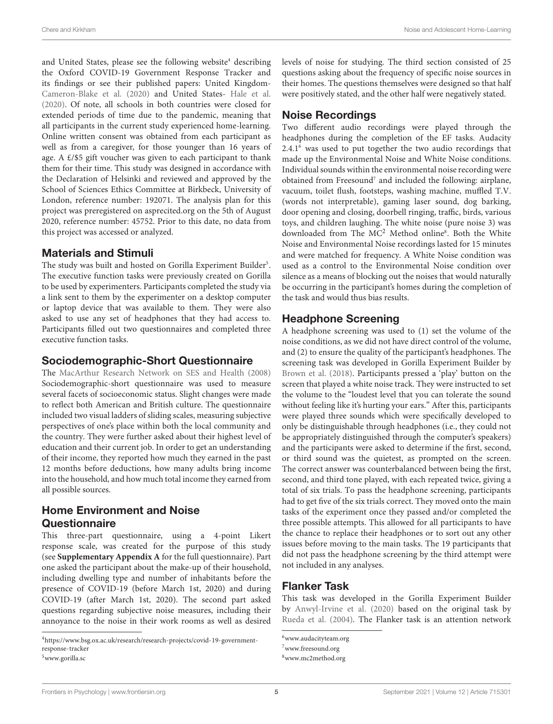and United States, please see the following website<sup>[4](#page-5-0)</sup> describing the Oxford COVID-19 Government Response Tracker and its findings or see their published papers: United Kingdom-[Cameron-Blake et al.](#page-15-15) [\(2020\)](#page-15-15) and United States- [Hale et al.](#page-15-16) [\(2020\)](#page-15-16). Of note, all schools in both countries were closed for extended periods of time due to the pandemic, meaning that all participants in the current study experienced home-learning. Online written consent was obtained from each participant as well as from a caregiver, for those younger than 16 years of age. A £/\$5 gift voucher was given to each participant to thank them for their time. This study was designed in accordance with the Declaration of Helsinki and reviewed and approved by the School of Sciences Ethics Committee at Birkbeck, University of London, reference number: 192071. The analysis plan for this project was preregistered on [asprecited.org](http://asprecited.org/) on the 5th of August 2020, reference number: 45752. Prior to this date, no data from this project was accessed or analyzed.

## Materials and Stimuli

The study was built and hosted on Gorilla Experiment Builder<sup>[5](#page-5-1)</sup>. The executive function tasks were previously created on Gorilla to be used by experimenters. Participants completed the study via a link sent to them by the experimenter on a desktop computer or laptop device that was available to them. They were also asked to use any set of headphones that they had access to. Participants filled out two questionnaires and completed three executive function tasks.

### Sociodemographic-Short Questionnaire

The [MacArthur Research Network on SES and Health](#page-15-17) [\(2008\)](#page-15-17) Sociodemographic-short questionnaire was used to measure several facets of socioeconomic status. Slight changes were made to reflect both American and British culture. The questionnaire included two visual ladders of sliding scales, measuring subjective perspectives of one's place within both the local community and the country. They were further asked about their highest level of education and their current job. In order to get an understanding of their income, they reported how much they earned in the past 12 months before deductions, how many adults bring income into the household, and how much total income they earned from all possible sources.

# Home Environment and Noise **Questionnaire**

This three-part questionnaire, using a 4-point Likert response scale, was created for the purpose of this study (see **[Supplementary Appendix A](#page-15-18)** for the full questionnaire). Part one asked the participant about the make-up of their household, including dwelling type and number of inhabitants before the presence of COVID-19 (before March 1st, 2020) and during COVID-19 (after March 1st, 2020). The second part asked questions regarding subjective noise measures, including their annoyance to the noise in their work rooms as well as desired

levels of noise for studying. The third section consisted of 25 questions asking about the frequency of specific noise sources in their homes. The questions themselves were designed so that half were positively stated, and the other half were negatively stated.

# Noise Recordings

Two different audio recordings were played through the headphones during the completion of the EF tasks. Audacity  $2.4.1<sup>6</sup>$  $2.4.1<sup>6</sup>$  $2.4.1<sup>6</sup>$  was used to put together the two audio recordings that made up the Environmental Noise and White Noise conditions. Individual sounds within the environmental noise recording were obtained from Freesound<sup>[7](#page-5-3)</sup> and included the following: airplane, vacuum, toilet flush, footsteps, washing machine, muffled T.V. (words not interpretable), gaming laser sound, dog barking, door opening and closing, doorbell ringing, traffic, birds, various toys, and children laughing. The white noise (pure noise 3) was downloaded from The MC<sup>2</sup> Method online<sup>[8](#page-5-4)</sup>. Both the White Noise and Environmental Noise recordings lasted for 15 minutes and were matched for frequency. A White Noise condition was used as a control to the Environmental Noise condition over silence as a means of blocking out the noises that would naturally be occurring in the participant's homes during the completion of the task and would thus bias results.

## Headphone Screening

A headphone screening was used to (1) set the volume of the noise conditions, as we did not have direct control of the volume, and (2) to ensure the quality of the participant's headphones. The screening task was developed in Gorilla Experiment Builder by [Brown et al.](#page-15-19) [\(2018\)](#page-15-19). Participants pressed a 'play' button on the screen that played a white noise track. They were instructed to set the volume to the "loudest level that you can tolerate the sound without feeling like it's hurting your ears." After this, participants were played three sounds which were specifically developed to only be distinguishable through headphones (i.e., they could not be appropriately distinguished through the computer's speakers) and the participants were asked to determine if the first, second, or third sound was the quietest, as prompted on the screen. The correct answer was counterbalanced between being the first, second, and third tone played, with each repeated twice, giving a total of six trials. To pass the headphone screening, participants had to get five of the six trials correct. They moved onto the main tasks of the experiment once they passed and/or completed the three possible attempts. This allowed for all participants to have the chance to replace their headphones or to sort out any other issues before moving to the main tasks. The 19 participants that did not pass the headphone screening by the third attempt were not included in any analyses.

## Flanker Task

This task was developed in the Gorilla Experiment Builder by [Anwyl-Irvine et al.](#page-15-20) [\(2020\)](#page-15-20) based on the original task by [Rueda et al.](#page-16-10) [\(2004\)](#page-16-10). The Flanker task is an attention network

<span id="page-5-0"></span><sup>4</sup>[https://www.bsg.ox.ac.uk/research/research-projects/covid-19-government](https://www.bsg.ox.ac.uk/research/research-projects/covid-19-government-response-tracker)[response-tracker](https://www.bsg.ox.ac.uk/research/research-projects/covid-19-government-response-tracker)

<span id="page-5-1"></span><sup>5</sup>[www.gorilla.sc](http://www.gorilla.sc)

<span id="page-5-2"></span> $6$ [www.audacityteam.org](http://www.audacityteam.org)

<span id="page-5-3"></span><sup>7</sup>[www.freesound.org](http://www.freesound.org)

<span id="page-5-4"></span><sup>8</sup>[www.mc2method.org](http://www.mc2method.org)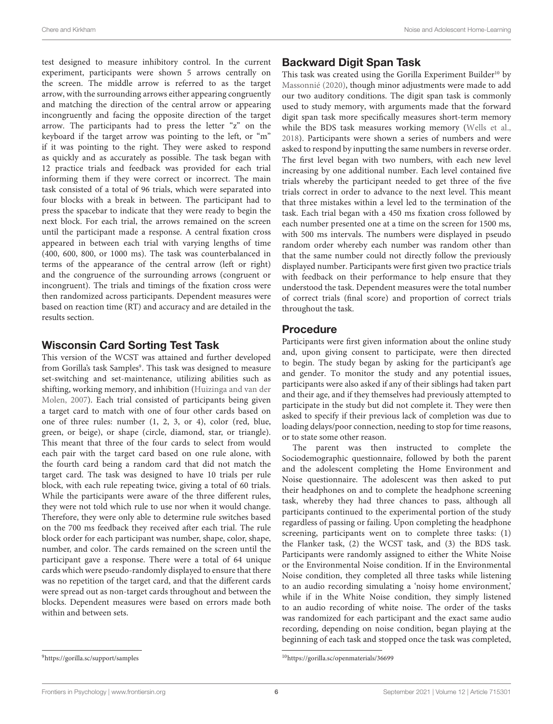test designed to measure inhibitory control. In the current experiment, participants were shown 5 arrows centrally on the screen. The middle arrow is referred to as the target arrow, with the surrounding arrows either appearing congruently and matching the direction of the central arrow or appearing incongruently and facing the opposite direction of the target arrow. The participants had to press the letter "z" on the keyboard if the target arrow was pointing to the left, or "m" if it was pointing to the right. They were asked to respond as quickly and as accurately as possible. The task began with 12 practice trials and feedback was provided for each trial informing them if they were correct or incorrect. The main task consisted of a total of 96 trials, which were separated into four blocks with a break in between. The participant had to press the spacebar to indicate that they were ready to begin the next block. For each trial, the arrows remained on the screen until the participant made a response. A central fixation cross appeared in between each trial with varying lengths of time (400, 600, 800, or 1000 ms). The task was counterbalanced in terms of the appearance of the central arrow (left or right) and the congruence of the surrounding arrows (congruent or incongruent). The trials and timings of the fixation cross were then randomized across participants. Dependent measures were based on reaction time (RT) and accuracy and are detailed in the results section.

# Wisconsin Card Sorting Test Task

This version of the WCST was attained and further developed from Gorilla's task Samples<sup>[9](#page-6-0)</sup>. This task was designed to measure set-switching and set-maintenance, utilizing abilities such as shifting, working memory, and inhibition [\(Huizinga and van der](#page-15-21) [Molen,](#page-15-21) [2007\)](#page-15-21). Each trial consisted of participants being given a target card to match with one of four other cards based on one of three rules: number (1, 2, 3, or 4), color (red, blue, green, or beige), or shape (circle, diamond, star, or triangle). This meant that three of the four cards to select from would each pair with the target card based on one rule alone, with the fourth card being a random card that did not match the target card. The task was designed to have 10 trials per rule block, with each rule repeating twice, giving a total of 60 trials. While the participants were aware of the three different rules, they were not told which rule to use nor when it would change. Therefore, they were only able to determine rule switches based on the 700 ms feedback they received after each trial. The rule block order for each participant was number, shape, color, shape, number, and color. The cards remained on the screen until the participant gave a response. There were a total of 64 unique cards which were pseudo-randomly displayed to ensure that there was no repetition of the target card, and that the different cards were spread out as non-target cards throughout and between the blocks. Dependent measures were based on errors made both within and between sets.

# Backward Digit Span Task

This task was created using the Gorilla Experiment Builder<sup>[10](#page-6-1)</sup> by [Massonnié](#page-15-22) [\(2020\)](#page-15-22), though minor adjustments were made to add our two auditory conditions. The digit span task is commonly used to study memory, with arguments made that the forward digit span task more specifically measures short-term memory while the BDS task measures working memory [\(Wells et al.,](#page-16-11) [2018\)](#page-16-11). Participants were shown a series of numbers and were asked to respond by inputting the same numbers in reverse order. The first level began with two numbers, with each new level increasing by one additional number. Each level contained five trials whereby the participant needed to get three of the five trials correct in order to advance to the next level. This meant that three mistakes within a level led to the termination of the task. Each trial began with a 450 ms fixation cross followed by each number presented one at a time on the screen for 1500 ms, with 500 ms intervals. The numbers were displayed in pseudo random order whereby each number was random other than that the same number could not directly follow the previously displayed number. Participants were first given two practice trials with feedback on their performance to help ensure that they understood the task. Dependent measures were the total number of correct trials (final score) and proportion of correct trials throughout the task.

## Procedure

Participants were first given information about the online study and, upon giving consent to participate, were then directed to begin. The study began by asking for the participant's age and gender. To monitor the study and any potential issues, participants were also asked if any of their siblings had taken part and their age, and if they themselves had previously attempted to participate in the study but did not complete it. They were then asked to specify if their previous lack of completion was due to loading delays/poor connection, needing to stop for time reasons, or to state some other reason.

The parent was then instructed to complete the Sociodemographic questionnaire, followed by both the parent and the adolescent completing the Home Environment and Noise questionnaire. The adolescent was then asked to put their headphones on and to complete the headphone screening task, whereby they had three chances to pass, although all participants continued to the experimental portion of the study regardless of passing or failing. Upon completing the headphone screening, participants went on to complete three tasks: (1) the Flanker task, (2) the WCST task, and (3) the BDS task. Participants were randomly assigned to either the White Noise or the Environmental Noise condition. If in the Environmental Noise condition, they completed all three tasks while listening to an audio recording simulating a 'noisy home environment,' while if in the White Noise condition, they simply listened to an audio recording of white noise. The order of the tasks was randomized for each participant and the exact same audio recording, depending on noise condition, began playing at the beginning of each task and stopped once the task was completed,

<span id="page-6-0"></span><sup>9</sup><https://gorilla.sc/support/samples>

<span id="page-6-1"></span><sup>10</sup><https://gorilla.sc/openmaterials/36699>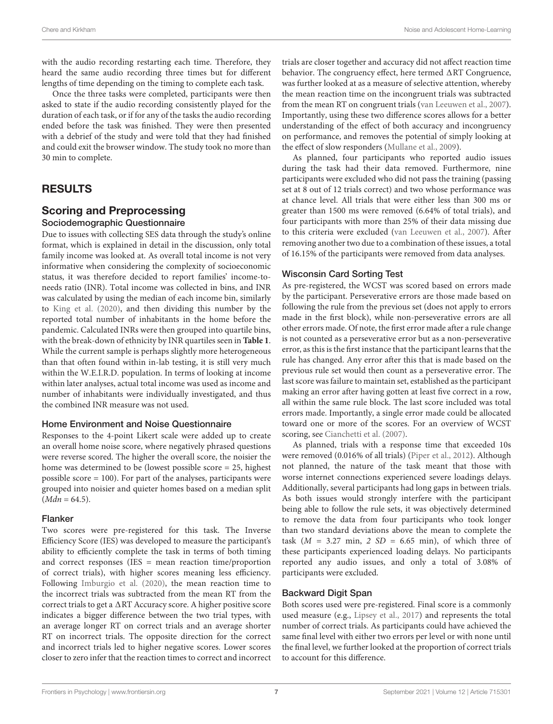with the audio recording restarting each time. Therefore, they heard the same audio recording three times but for different lengths of time depending on the timing to complete each task.

Once the three tasks were completed, participants were then asked to state if the audio recording consistently played for the duration of each task, or if for any of the tasks the audio recording ended before the task was finished. They were then presented with a debrief of the study and were told that they had finished and could exit the browser window. The study took no more than 30 min to complete.

# RESULTS

#### Scoring and Preprocessing Sociodemographic Questionnaire

Due to issues with collecting SES data through the study's online format, which is explained in detail in the discussion, only total family income was looked at. As overall total income is not very informative when considering the complexity of socioeconomic status, it was therefore decided to report families' income-toneeds ratio (INR). Total income was collected in bins, and INR was calculated by using the median of each income bin, similarly to [King et al.](#page-15-23) [\(2020\)](#page-15-23), and then dividing this number by the reported total number of inhabitants in the home before the pandemic. Calculated INRs were then grouped into quartile bins, with the break-down of ethnicity by INR quartiles seen in **[Table 1](#page-4-1)**. While the current sample is perhaps slightly more heterogeneous than that often found within in-lab testing, it is still very much within the W.E.I.R.D. population. In terms of looking at income within later analyses, actual total income was used as income and number of inhabitants were individually investigated, and thus the combined INR measure was not used.

#### Home Environment and Noise Questionnaire

Responses to the 4-point Likert scale were added up to create an overall home noise score, where negatively phrased questions were reverse scored. The higher the overall score, the noisier the home was determined to be (lowest possible score = 25, highest possible score = 100). For part of the analyses, participants were grouped into noisier and quieter homes based on a median split  $(Mdn = 64.5)$ .

#### Flanker

Two scores were pre-registered for this task. The Inverse Efficiency Score (IES) was developed to measure the participant's ability to efficiently complete the task in terms of both timing and correct responses (IES = mean reaction time/proportion of correct trials), with higher scores meaning less efficiency. Following [Imburgio et al.](#page-15-24) [\(2020\)](#page-15-24), the mean reaction time to the incorrect trials was subtracted from the mean RT from the correct trials to get a  $\Delta RT$  Accuracy score. A higher positive score indicates a bigger difference between the two trial types, with an average longer RT on correct trials and an average shorter RT on incorrect trials. The opposite direction for the correct and incorrect trials led to higher negative scores. Lower scores closer to zero infer that the reaction times to correct and incorrect trials are closer together and accuracy did not affect reaction time behavior. The congruency effect, here termed  $\Delta RT$  Congruence, was further looked at as a measure of selective attention, whereby the mean reaction time on the incongruent trials was subtracted from the mean RT on congruent trials [\(van Leeuwen et al.,](#page-16-12) [2007\)](#page-16-12). Importantly, using these two difference scores allows for a better understanding of the effect of both accuracy and incongruency on performance, and removes the potential of simply looking at the effect of slow responders [\(Mullane et al.,](#page-16-13) [2009\)](#page-16-13).

As planned, four participants who reported audio issues during the task had their data removed. Furthermore, nine participants were excluded who did not pass the training (passing set at 8 out of 12 trials correct) and two whose performance was at chance level. All trials that were either less than 300 ms or greater than 1500 ms were removed (6.64% of total trials), and four participants with more than 25% of their data missing due to this criteria were excluded [\(van Leeuwen et al.,](#page-16-12) [2007\)](#page-16-12). After removing another two due to a combination of these issues, a total of 16.15% of the participants were removed from data analyses.

#### Wisconsin Card Sorting Test

As pre-registered, the WCST was scored based on errors made by the participant. Perseverative errors are those made based on following the rule from the previous set (does not apply to errors made in the first block), while non-perseverative errors are all other errors made. Of note, the first error made after a rule change is not counted as a perseverative error but as a non-perseverative error, as this is the first instance that the participant learns that the rule has changed. Any error after this that is made based on the previous rule set would then count as a perseverative error. The last score was failure to maintain set, established as the participant making an error after having gotten at least five correct in a row, all within the same rule block. The last score included was total errors made. Importantly, a single error made could be allocated toward one or more of the scores. For an overview of WCST scoring, see [Cianchetti et al.](#page-15-25) [\(2007\)](#page-15-25).

As planned, trials with a response time that exceeded 10s were removed (0.016% of all trials) [\(Piper et al.,](#page-16-14) [2012\)](#page-16-14). Although not planned, the nature of the task meant that those with worse internet connections experienced severe loadings delays. Additionally, several participants had long gaps in between trials. As both issues would strongly interfere with the participant being able to follow the rule sets, it was objectively determined to remove the data from four participants who took longer than two standard deviations above the mean to complete the task ( $M = 3.27$  min,  $2 SD = 6.65$  min), of which three of these participants experienced loading delays. No participants reported any audio issues, and only a total of 3.08% of participants were excluded.

#### Backward Digit Span

Both scores used were pre-registered. Final score is a commonly used measure (e.g., [Lipsey et al.,](#page-15-26) [2017\)](#page-15-26) and represents the total number of correct trials. As participants could have achieved the same final level with either two errors per level or with none until the final level, we further looked at the proportion of correct trials to account for this difference.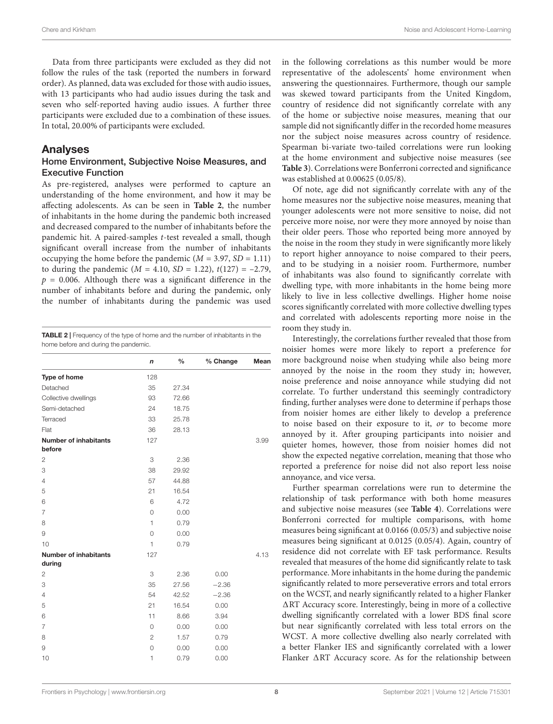Data from three participants were excluded as they did not follow the rules of the task (reported the numbers in forward order). As planned, data was excluded for those with audio issues, with 13 participants who had audio issues during the task and seven who self-reported having audio issues. A further three participants were excluded due to a combination of these issues. In total, 20.00% of participants were excluded.

#### Analyses

#### Home Environment, Subjective Noise Measures, and Executive Function

As pre-registered, analyses were performed to capture an understanding of the home environment, and how it may be affecting adolescents. As can be seen in **[Table 2](#page-8-0)**, the number of inhabitants in the home during the pandemic both increased and decreased compared to the number of inhabitants before the pandemic hit. A paired-samples t-test revealed a small, though significant overall increase from the number of inhabitants occupying the home before the pandemic  $(M = 3.97, SD = 1.11)$ to during the pandemic ( $M = 4.10$ ,  $SD = 1.22$ ),  $t(127) = -2.79$ ,  $p = 0.006$ . Although there was a significant difference in the number of inhabitants before and during the pandemic, only the number of inhabitants during the pandemic was used

<span id="page-8-0"></span>TABLE 2 | Frequency of the type of home and the number of inhabitants in the home before and during the pandemic.

|                              | n              | $\frac{0}{0}$ | % Change | Mean |
|------------------------------|----------------|---------------|----------|------|
| Type of home                 | 128            |               |          |      |
| Detached                     | 35             | 27.34         |          |      |
| Collective dwellings         | 93             | 72.66         |          |      |
| Semi-detached                | 24             | 18.75         |          |      |
| Terraced                     | 33             | 25.78         |          |      |
| Flat                         | 36             | 28.13         |          |      |
| <b>Number of inhabitants</b> | 127            |               |          | 3.99 |
| before                       |                |               |          |      |
| 2                            | 3              | 2.36          |          |      |
| 3                            | 38             | 29.92         |          |      |
| $\overline{4}$               | 57             | 44.88         |          |      |
| 5                            | 21             | 16.54         |          |      |
| 6                            | 6              | 4.72          |          |      |
| 7                            | $\Omega$       | 0.00          |          |      |
| 8                            | $\mathbf{1}$   | 0.79          |          |      |
| 9                            | $\circ$        | 0.00          |          |      |
| 10                           | $\mathbf{1}$   | 0.79          |          |      |
| <b>Number of inhabitants</b> | 127            |               |          | 4.13 |
| during                       |                |               |          |      |
| 2                            | 3              | 2.36          | 0.00     |      |
| 3                            | 35             | 27.56         | $-2.36$  |      |
| $\overline{4}$               | 54             | 42.52         | $-2.36$  |      |
| 5                            | 21             | 16.54         | 0.00     |      |
| 6                            | 11             | 8.66          | 3.94     |      |
| 7                            | $\circ$        | 0.00          | 0.00     |      |
| 8                            | $\overline{2}$ | 1.57          | 0.79     |      |
| 9                            | $\mathbf 0$    | 0.00          | 0.00     |      |
| 10                           | 1              | 0.79          | 0.00     |      |
|                              |                |               |          |      |

in the following correlations as this number would be more representative of the adolescents' home environment when answering the questionnaires. Furthermore, though our sample was skewed toward participants from the United Kingdom, country of residence did not significantly correlate with any of the home or subjective noise measures, meaning that our sample did not significantly differ in the recorded home measures nor the subject noise measures across country of residence. Spearman bi-variate two-tailed correlations were run looking at the home environment and subjective noise measures (see **[Table 3](#page-9-0)**). Correlations were Bonferroni corrected and significance was established at 0.00625 (0.05/8).

Of note, age did not significantly correlate with any of the home measures nor the subjective noise measures, meaning that younger adolescents were not more sensitive to noise, did not perceive more noise, nor were they more annoyed by noise than their older peers. Those who reported being more annoyed by the noise in the room they study in were significantly more likely to report higher annoyance to noise compared to their peers, and to be studying in a noisier room. Furthermore, number of inhabitants was also found to significantly correlate with dwelling type, with more inhabitants in the home being more likely to live in less collective dwellings. Higher home noise scores significantly correlated with more collective dwelling types and correlated with adolescents reporting more noise in the room they study in.

Interestingly, the correlations further revealed that those from noisier homes were more likely to report a preference for more background noise when studying while also being more annoyed by the noise in the room they study in; however, noise preference and noise annoyance while studying did not correlate. To further understand this seemingly contradictory finding, further analyses were done to determine if perhaps those from noisier homes are either likely to develop a preference to noise based on their exposure to it, or to become more annoyed by it. After grouping participants into noisier and quieter homes, however, those from noisier homes did not show the expected negative correlation, meaning that those who reported a preference for noise did not also report less noise annoyance, and vice versa.

Further spearman correlations were run to determine the relationship of task performance with both home measures and subjective noise measures (see **[Table 4](#page-9-1)**). Correlations were Bonferroni corrected for multiple comparisons, with home measures being significant at 0.0166 (0.05/3) and subjective noise measures being significant at 0.0125 (0.05/4). Again, country of residence did not correlate with EF task performance. Results revealed that measures of the home did significantly relate to task performance. More inhabitants in the home during the pandemic significantly related to more perseverative errors and total errors on the WCST, and nearly significantly related to a higher Flanker ART Accuracy score. Interestingly, being in more of a collective dwelling significantly correlated with a lower BDS final score but near significantly correlated with less total errors on the WCST. A more collective dwelling also nearly correlated with a better Flanker IES and significantly correlated with a lower Flanker  $\Delta RT$  Accuracy score. As for the relationship between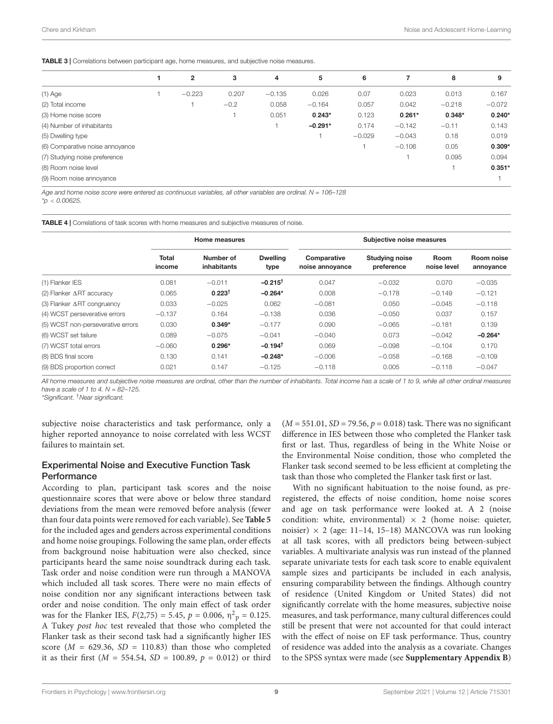<span id="page-9-0"></span>TABLE 3 | Correlations between participant age, home measures, and subjective noise measures.

|                                 | $\mathbf{2}$ | 3      | 4        | 5         | 6        | 7        | 8        | 9        |
|---------------------------------|--------------|--------|----------|-----------|----------|----------|----------|----------|
| $(1)$ Age                       | $-0.223$     | 0.207  | $-0.135$ | 0.026     | 0.07     | 0.023    | 0.013    | 0.167    |
| (2) Total income                |              | $-0.2$ | 0.058    | $-0.164$  | 0.057    | 0.042    | $-0.218$ | $-0.072$ |
| (3) Home noise score            |              |        | 0.051    | $0.243*$  | 0.123    | $0.261*$ | $0.348*$ | $0.240*$ |
| (4) Number of inhabitants       |              |        |          | $-0.291*$ | 0.174    | $-0.142$ | $-0.11$  | 0.143    |
| (5) Dwelling type               |              |        |          |           | $-0.029$ | $-0.043$ | 0.18     | 0.019    |
| (6) Comparative noise annoyance |              |        |          |           |          | $-0.106$ | 0.05     | $0.309*$ |
| (7) Studying noise preference   |              |        |          |           |          |          | 0.095    | 0.094    |
| (8) Room noise level            |              |        |          |           |          |          |          | $0.351*$ |
| (9) Room noise annoyance        |              |        |          |           |          |          |          |          |
|                                 |              |        |          |           |          |          |          |          |

Age and home noise score were entered as continuous variables, all other variables are ordinal. N = 106-128

 $*_{D} < 0.00625$ .

<span id="page-9-1"></span>TABLE 4 | Correlations of task scores with home measures and subjective measures of noise.

|                                         |                 | Home measures            |                         | Subjective noise measures      |                                     |                     |                         |  |  |
|-----------------------------------------|-----------------|--------------------------|-------------------------|--------------------------------|-------------------------------------|---------------------|-------------------------|--|--|
|                                         | Total<br>income | Number of<br>inhabitants | <b>Dwelling</b><br>type | Comparative<br>noise annoyance | <b>Studying noise</b><br>preference | Room<br>noise level | Room noise<br>annoyance |  |  |
| (1) Flanker IES                         | 0.081           | $-0.011$                 | $-0.215$ <sup>t</sup>   | 0.047                          | $-0.032$                            | 0.070               | $-0.035$                |  |  |
| (2) Flanker $\triangle$ RT accuracy     | 0.065           | $0.223^{+}$              | $-0.264*$               | 0.008                          | $-0.178$                            | $-0.149$            | $-0.121$                |  |  |
| $(3)$ Flanker $\triangle$ RT congruency | 0.033           | $-0.025$                 | 0.062                   | $-0.081$                       | 0.050                               | $-0.045$            | $-0.118$                |  |  |
| (4) WCST perseverative errors           | $-0.137$        | 0.164                    | $-0.138$                | 0.036                          | $-0.050$                            | 0.037               | 0.157                   |  |  |
| (5) WCST non-perseverative errors       | 0.030           | $0.349*$                 | $-0.177$                | 0.090                          | $-0.065$                            | $-0.181$            | 0.139                   |  |  |
| (6) WCST set failure                    | 0.089           | $-0.075$                 | $-0.041$                | $-0.040$                       | 0.073                               | $-0.042$            | $-0.264*$               |  |  |
| (7) WCST total errors                   | $-0.060$        | $0.296*$                 | $-0.194$ <sup>t</sup>   | 0.069                          | $-0.098$                            | $-0.104$            | 0.170                   |  |  |
| (8) BDS final score                     | 0.130           | 0.141                    | $-0.248*$               | $-0.006$                       | $-0.058$                            | $-0.168$            | $-0.109$                |  |  |
| (9) BDS proportion correct              | 0.021           | 0.147                    | $-0.125$                | $-0.118$                       | 0.005                               | $-0.118$            | $-0.047$                |  |  |

All home measures and subjective noise measures are ordinal, other than the number of inhabitants. Total income has a scale of 1 to 9, while all other ordinal measures have a scale of 1 to  $4$ . N = 82–125.

\*Significant. †Near significant.

subjective noise characteristics and task performance, only a higher reported annoyance to noise correlated with less WCST failures to maintain set.

#### Experimental Noise and Executive Function Task **Performance**

According to plan, participant task scores and the noise questionnaire scores that were above or below three standard deviations from the mean were removed before analysis (fewer than four data points were removed for each variable). See **[Table 5](#page-11-0)** for the included ages and genders across experimental conditions and home noise groupings. Following the same plan, order effects from background noise habituation were also checked, since participants heard the same noise soundtrack during each task. Task order and noise condition were run through a MANOVA which included all task scores. There were no main effects of noise condition nor any significant interactions between task order and noise condition. The only main effect of task order was for the Flanker IES,  $F(2,75) = 5.45$ ,  $p = 0.006$ ,  $\eta^2$ <sub>p</sub> = 0.125. A Tukey post hoc test revealed that those who completed the Flanker task as their second task had a significantly higher IES score ( $M = 629.36$ ,  $SD = 110.83$ ) than those who completed it as their first ( $M = 554.54$ ,  $SD = 100.89$ ,  $p = 0.012$ ) or third

 $(M = 551.01, SD = 79.56, p = 0.018)$  task. There was no significant difference in IES between those who completed the Flanker task first or last. Thus, regardless of being in the White Noise or the Environmental Noise condition, those who completed the Flanker task second seemed to be less efficient at completing the task than those who completed the Flanker task first or last.

With no significant habituation to the noise found, as preregistered, the effects of noise condition, home noise scores and age on task performance were looked at. A 2 (noise condition: white, environmental)  $\times$  2 (home noise: quieter, noisier)  $\times$  2 (age: 11–14, 15–18) MANCOVA was run looking at all task scores, with all predictors being between-subject variables. A multivariate analysis was run instead of the planned separate univariate tests for each task score to enable equivalent sample sizes and participants be included in each analysis, ensuring comparability between the findings. Although country of residence (United Kingdom or United States) did not significantly correlate with the home measures, subjective noise measures, and task performance, many cultural differences could still be present that were not accounted for that could interact with the effect of noise on EF task performance. Thus, country of residence was added into the analysis as a covariate. Changes to the SPSS syntax were made (see **[Supplementary Appendix B](#page-15-18)**)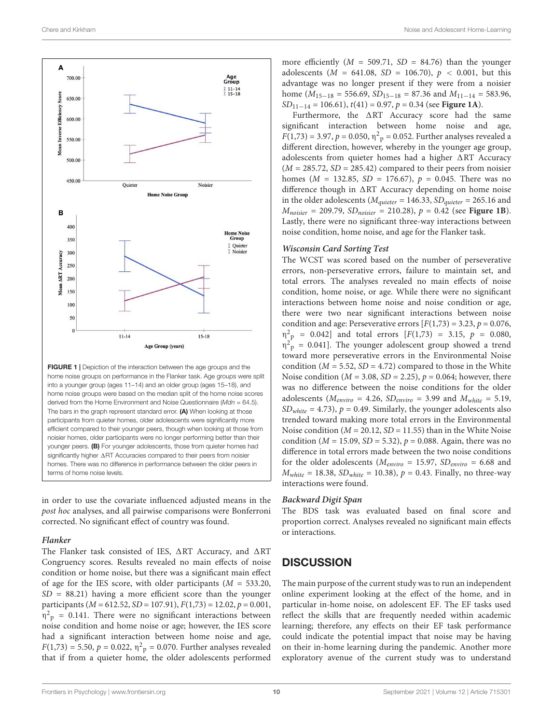

<span id="page-10-0"></span>**FIGURE 1** | Depiction of the interaction between the age groups and the home noise groups on performance in the Flanker task. Age groups were split into a younger group (ages 11–14) and an older group (ages 15–18), and home noise groups were based on the median split of the home noise scores derived from the Home Environment and Noise Questionnaire ( $Mdn = 64.5$ ). The bars in the graph represent standard error. (A) When looking at those participants from quieter homes, older adolescents were significantly more efficient compared to their younger peers, though when looking at those from noisier homes, older participants were no longer performing better than their younger peers. (B) For younger adolescents, those from quieter homes had significantly higher  $\triangle$ RT Accuracies compared to their peers from noisier homes. There was no difference in performance between the older peers in terms of home noise levels.

in order to use the covariate influenced adjusted means in the post hoc analyses, and all pairwise comparisons were Bonferroni corrected. No significant effect of country was found.

#### **Flanker**

The Flanker task consisted of IES,  $\triangle$ RT Accuracy, and  $\triangle$ RT Congruency scores. Results revealed no main effects of noise condition or home noise, but there was a significant main effect of age for the IES score, with older participants ( $M = 533.20$ ,  $SD = 88.21$ ) having a more efficient score than the younger participants ( $M = 612.52$ ,  $SD = 107.91$ ),  $F(1,73) = 12.02$ ,  $p = 0.001$ ,  $\eta^2$ <sub>p</sub> = 0.141. There were no significant interactions between noise condition and home noise or age; however, the IES score had a significant interaction between home noise and age,  $F(1,73) = 5.50, p = 0.022, \eta^2$ <sub>p</sub> = 0.070. Further analyses revealed that if from a quieter home, the older adolescents performed

more efficiently  $(M = 509.71, SD = 84.76)$  than the younger adolescents ( $M = 641.08$ ,  $SD = 106.70$ ),  $p < 0.001$ , but this advantage was no longer present if they were from a noisier home ( $M_{15-18}$  = 556.69,  $SD_{15-18}$  = 87.36 and  $M_{11-14}$  = 583.96, SD11−<sup>14</sup> = 106.61), t(41) = 0.97, p = 0.34 (see **[Figure 1A](#page-10-0)**).

Furthermore, the  $\triangle RT$  Accuracy score had the same significant interaction between home noise and age,  $F(1,73) = 3.97, p = 0.050, \eta^2$ <sub>p</sub> = 0.052. Further analyses revealed a different direction, however, whereby in the younger age group, adolescents from quieter homes had a higher  $\triangle RT$  Accuracy  $(M = 285.72, SD = 285.42)$  compared to their peers from noisier homes ( $M = 132.85$ ,  $SD = 176.67$ ),  $p = 0.045$ . There was no difference though in  $\Delta RT$  Accuracy depending on home noise in the older adolescents ( $M_{quider}$  = 146.33, SD<sub>quieter</sub> = 265.16 and  $M_{noise} = 209.79$ ,  $SD_{noise} = 210.28$ ,  $p = 0.42$  (see **[Figure 1B](#page-10-0)**). Lastly, there were no significant three-way interactions between noise condition, home noise, and age for the Flanker task.

#### **Wisconsin Card Sorting Test**

The WCST was scored based on the number of perseverative errors, non-perseverative errors, failure to maintain set, and total errors. The analyses revealed no main effects of noise condition, home noise, or age. While there were no significant interactions between home noise and noise condition or age, there were two near significant interactions between noise condition and age: Perseverative errors  $[F(1,73) = 3.23, p = 0.076,$  $\eta^2$  = 0.042] and total errors [F(1,73) = 3.15, p = 0.080,  $\eta^2$  = 0.041]. The younger adolescent group showed a trend toward more perseverative errors in the Environmental Noise condition ( $M = 5.52$ ,  $SD = 4.72$ ) compared to those in the White Noise condition ( $M = 3.08$ ,  $SD = 2.25$ ),  $p = 0.064$ ; however, there was no difference between the noise conditions for the older adolescents ( $M_{enviro}$  = 4.26,  $SD_{enviro}$  = 3.99 and  $M_{white}$  = 5.19,  $SD<sub>white</sub> = 4.73$ ,  $p = 0.49$ . Similarly, the younger adolescents also trended toward making more total errors in the Environmental Noise condition ( $M = 20.12$ ,  $SD = 11.55$ ) than in the White Noise condition ( $M = 15.09$ ,  $SD = 5.32$ ),  $p = 0.088$ . Again, there was no difference in total errors made between the two noise conditions for the older adolescents ( $M_{enviro} = 15.97$ ,  $SD_{enviro} = 6.68$  and  $M_{white}$  = 18.38,  $SD_{white}$  = 10.38),  $p$  = 0.43. Finally, no three-way interactions were found.

#### **Backward Digit Span**

The BDS task was evaluated based on final score and proportion correct. Analyses revealed no significant main effects or interactions.

#### **DISCUSSION**

The main purpose of the current study was to run an independent online experiment looking at the effect of the home, and in particular in-home noise, on adolescent EF. The EF tasks used reflect the skills that are frequently needed within academic learning; therefore, any effects on their EF task performance could indicate the potential impact that noise may be having on their in-home learning during the pandemic. Another more exploratory avenue of the current study was to understand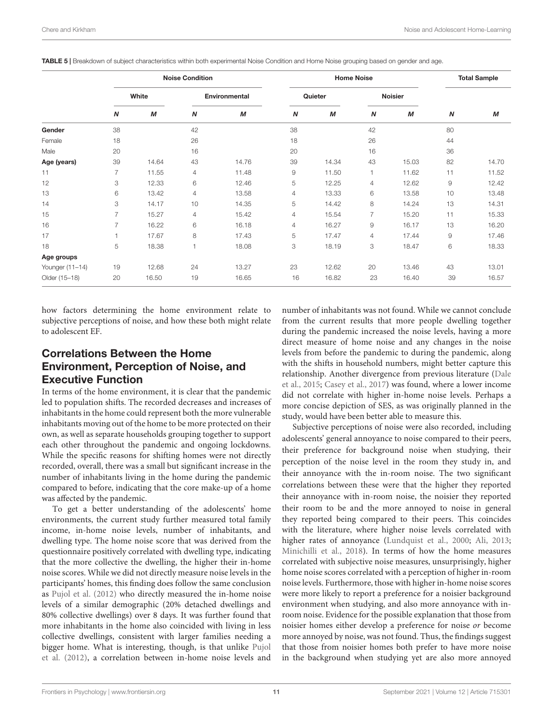<span id="page-11-0"></span>

|  |  | TABLE 5   Breakdown of subject characteristics within both experimental Noise Condition and Home Noise grouping based on gender and age. |  |  |  |  |  |  |
|--|--|------------------------------------------------------------------------------------------------------------------------------------------|--|--|--|--|--|--|
|  |  |                                                                                                                                          |  |  |  |  |  |  |

|                 |                |       | <b>Noise Condition</b> |       |                  | <b>Home Noise</b> | <b>Total Sample</b> |                |                  |       |
|-----------------|----------------|-------|------------------------|-------|------------------|-------------------|---------------------|----------------|------------------|-------|
|                 | White          |       | <b>Environmental</b>   |       |                  | Quieter           |                     | <b>Noisier</b> |                  |       |
|                 | N              | M     | $\boldsymbol{N}$       | М     | $\boldsymbol{N}$ | M                 | N                   | М              | $\boldsymbol{N}$ | M     |
| Gender          | 38             |       | 42                     |       | 38               |                   | 42                  |                | 80               |       |
| Female          | 18             |       | 26                     |       | 18               |                   | 26                  |                | 44               |       |
| Male            | 20             |       | 16                     |       | 20               |                   | 16                  |                | 36               |       |
| Age (years)     | 39             | 14.64 | 43                     | 14.76 | 39               | 14.34             | 43                  | 15.03          | 82               | 14.70 |
| 11              | $\overline{7}$ | 11.55 | 4                      | 11.48 | $\hbox{9}$       | 11.50             | $\mathbf{1}$        | 11.62          | 11               | 11.52 |
| 12              | 3              | 12.33 | 6                      | 12.46 | 5                | 12.25             | 4                   | 12.62          | $\mathsf 9$      | 12.42 |
| 13              | 6              | 13.42 | $\overline{4}$         | 13.58 | 4                | 13.33             | 6                   | 13.58          | 10               | 13.48 |
| 14              | 3              | 14.17 | 10                     | 14.35 | 5                | 14.42             | 8                   | 14.24          | 13               | 14.31 |
| 15              | 7              | 15.27 | 4                      | 15.42 | 4                | 15.54             | 7                   | 15.20          | 11               | 15.33 |
| 16              | 7              | 16.22 | 6                      | 16.18 | 4                | 16.27             | 9                   | 16.17          | 13               | 16.20 |
| 17              |                | 17.67 | 8                      | 17.43 | 5                | 17.47             | 4                   | 17.44          | 9                | 17.46 |
| 18              | 5              | 18.38 | 1                      | 18.08 | 3                | 18.19             | 3                   | 18.47          | 6                | 18.33 |
| Age groups      |                |       |                        |       |                  |                   |                     |                |                  |       |
| Younger (11-14) | 19             | 12.68 | 24                     | 13.27 | 23               | 12.62             | 20                  | 13.46          | 43               | 13.01 |
| Older (15-18)   | 20             | 16.50 | 19                     | 16.65 | 16               | 16.82             | 23                  | 16.40          | 39               | 16.57 |

how factors determining the home environment relate to subjective perceptions of noise, and how these both might relate to adolescent EF.

# Correlations Between the Home Environment, Perception of Noise, and Executive Function

In terms of the home environment, it is clear that the pandemic led to population shifts. The recorded decreases and increases of inhabitants in the home could represent both the more vulnerable inhabitants moving out of the home to be more protected on their own, as well as separate households grouping together to support each other throughout the pandemic and ongoing lockdowns. While the specific reasons for shifting homes were not directly recorded, overall, there was a small but significant increase in the number of inhabitants living in the home during the pandemic compared to before, indicating that the core make-up of a home was affected by the pandemic.

To get a better understanding of the adolescents' home environments, the current study further measured total family income, in-home noise levels, number of inhabitants, and dwelling type. The home noise score that was derived from the questionnaire positively correlated with dwelling type, indicating that the more collective the dwelling, the higher their in-home noise scores. While we did not directly measure noise levels in the participants' homes, this finding does follow the same conclusion as [Pujol et al.](#page-16-6) [\(2012\)](#page-16-6) who directly measured the in-home noise levels of a similar demographic (20% detached dwellings and 80% collective dwellings) over 8 days. It was further found that more inhabitants in the home also coincided with living in less collective dwellings, consistent with larger families needing a bigger home. What is interesting, though, is that unlike [Pujol](#page-16-6) [et al.](#page-16-6) [\(2012\)](#page-16-6), a correlation between in-home noise levels and

number of inhabitants was not found. While we cannot conclude from the current results that more people dwelling together during the pandemic increased the noise levels, having a more direct measure of home noise and any changes in the noise levels from before the pandemic to during the pandemic, along with the shifts in household numbers, might better capture this relationship. Another divergence from previous literature [\(Dale](#page-15-12) [et al.,](#page-15-12) [2015;](#page-15-12) [Casey et al.,](#page-15-13) [2017\)](#page-15-13) was found, where a lower income did not correlate with higher in-home noise levels. Perhaps a more concise depiction of SES, as was originally planned in the study, would have been better able to measure this.

Subjective perceptions of noise were also recorded, including adolescents' general annoyance to noise compared to their peers, their preference for background noise when studying, their perception of the noise level in the room they study in, and their annoyance with the in-room noise. The two significant correlations between these were that the higher they reported their annoyance with in-room noise, the noisier they reported their room to be and the more annoyed to noise in general they reported being compared to their peers. This coincides with the literature, where higher noise levels correlated with higher rates of annoyance [\(Lundquist et al.,](#page-15-7) [2000;](#page-15-7) [Ali,](#page-15-6) [2013;](#page-15-6) [Minichilli et al.,](#page-16-5) [2018\)](#page-16-5). In terms of how the home measures correlated with subjective noise measures, unsurprisingly, higher home noise scores correlated with a perception of higher in-room noise levels. Furthermore, those with higher in-home noise scores were more likely to report a preference for a noisier background environment when studying, and also more annoyance with inroom noise. Evidence for the possible explanation that those from noisier homes either develop a preference for noise or become more annoyed by noise, was not found. Thus, the findings suggest that those from noisier homes both prefer to have more noise in the background when studying yet are also more annoyed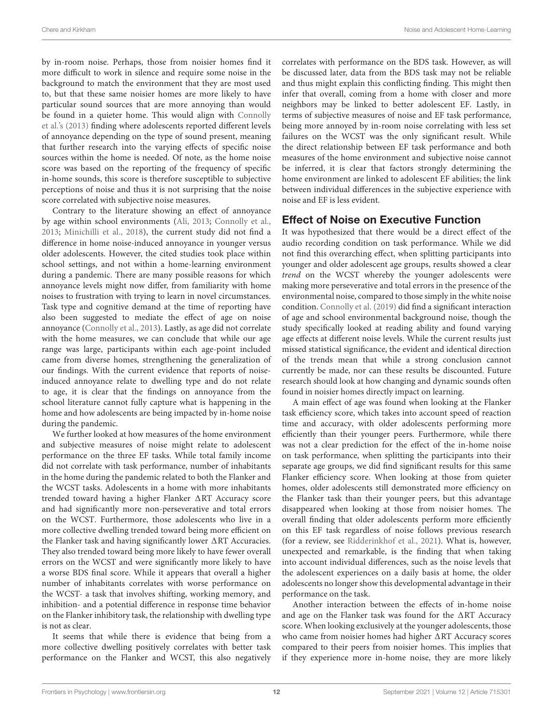by in-room noise. Perhaps, those from noisier homes find it more difficult to work in silence and require some noise in the background to match the environment that they are most used to, but that these same noisier homes are more likely to have particular sound sources that are more annoying than would be found in a quieter home. This would align with [Connolly](#page-15-5) [et al.'](#page-15-5)s [\(2013\)](#page-15-5) finding where adolescents reported different levels of annoyance depending on the type of sound present, meaning that further research into the varying effects of specific noise sources within the home is needed. Of note, as the home noise score was based on the reporting of the frequency of specific in-home sounds, this score is therefore susceptible to subjective perceptions of noise and thus it is not surprising that the noise score correlated with subjective noise measures.

Contrary to the literature showing an effect of annoyance by age within school environments [\(Ali,](#page-15-6) [2013;](#page-15-6) [Connolly et al.,](#page-15-5) [2013;](#page-15-5) [Minichilli et al.,](#page-16-5) [2018\)](#page-16-5), the current study did not find a difference in home noise-induced annoyance in younger versus older adolescents. However, the cited studies took place within school settings, and not within a home-learning environment during a pandemic. There are many possible reasons for which annoyance levels might now differ, from familiarity with home noises to frustration with trying to learn in novel circumstances. Task type and cognitive demand at the time of reporting have also been suggested to mediate the effect of age on noise annoyance [\(Connolly et al.,](#page-15-5) [2013\)](#page-15-5). Lastly, as age did not correlate with the home measures, we can conclude that while our age range was large, participants within each age-point included came from diverse homes, strengthening the generalization of our findings. With the current evidence that reports of noiseinduced annoyance relate to dwelling type and do not relate to age, it is clear that the findings on annoyance from the school literature cannot fully capture what is happening in the home and how adolescents are being impacted by in-home noise during the pandemic.

We further looked at how measures of the home environment and subjective measures of noise might relate to adolescent performance on the three EF tasks. While total family income did not correlate with task performance, number of inhabitants in the home during the pandemic related to both the Flanker and the WCST tasks. Adolescents in a home with more inhabitants trended toward having a higher Flanker  $\Delta RT$  Accuracy score and had significantly more non-perseverative and total errors on the WCST. Furthermore, those adolescents who live in a more collective dwelling trended toward being more efficient on the Flanker task and having significantly lower  $\Delta RT$  Accuracies. They also trended toward being more likely to have fewer overall errors on the WCST and were significantly more likely to have a worse BDS final score. While it appears that overall a higher number of inhabitants correlates with worse performance on the WCST- a task that involves shifting, working memory, and inhibition- and a potential difference in response time behavior on the Flanker inhibitory task, the relationship with dwelling type is not as clear.

It seems that while there is evidence that being from a more collective dwelling positively correlates with better task performance on the Flanker and WCST, this also negatively correlates with performance on the BDS task. However, as will be discussed later, data from the BDS task may not be reliable and thus might explain this conflicting finding. This might then infer that overall, coming from a home with closer and more neighbors may be linked to better adolescent EF. Lastly, in terms of subjective measures of noise and EF task performance, being more annoyed by in-room noise correlating with less set failures on the WCST was the only significant result. While the direct relationship between EF task performance and both measures of the home environment and subjective noise cannot be inferred, it is clear that factors strongly determining the home environment are linked to adolescent EF abilities; the link between individual differences in the subjective experience with noise and EF is less evident.

# Effect of Noise on Executive Function

It was hypothesized that there would be a direct effect of the audio recording condition on task performance. While we did not find this overarching effect, when splitting participants into younger and older adolescent age groups, results showed a clear trend on the WCST whereby the younger adolescents were making more perseverative and total errors in the presence of the environmental noise, compared to those simply in the white noise condition. [Connolly et al.](#page-15-8) [\(2019\)](#page-15-8) did find a significant interaction of age and school environmental background noise, though the study specifically looked at reading ability and found varying age effects at different noise levels. While the current results just missed statistical significance, the evident and identical direction of the trends mean that while a strong conclusion cannot currently be made, nor can these results be discounted. Future research should look at how changing and dynamic sounds often found in noisier homes directly impact on learning.

A main effect of age was found when looking at the Flanker task efficiency score, which takes into account speed of reaction time and accuracy, with older adolescents performing more efficiently than their younger peers. Furthermore, while there was not a clear prediction for the effect of the in-home noise on task performance, when splitting the participants into their separate age groups, we did find significant results for this same Flanker efficiency score. When looking at those from quieter homes, older adolescents still demonstrated more efficiency on the Flanker task than their younger peers, but this advantage disappeared when looking at those from noisier homes. The overall finding that older adolescents perform more efficiently on this EF task regardless of noise follows previous research (for a review, see [Ridderinkhof et al.,](#page-16-15) [2021\)](#page-16-15). What is, however, unexpected and remarkable, is the finding that when taking into account individual differences, such as the noise levels that the adolescent experiences on a daily basis at home, the older adolescents no longer show this developmental advantage in their performance on the task.

Another interaction between the effects of in-home noise and age on the Flanker task was found for the  $\triangle$ RT Accuracy score. When looking exclusively at the younger adolescents, those who came from noisier homes had higher  $\Delta RT$  Accuracy scores compared to their peers from noisier homes. This implies that if they experience more in-home noise, they are more likely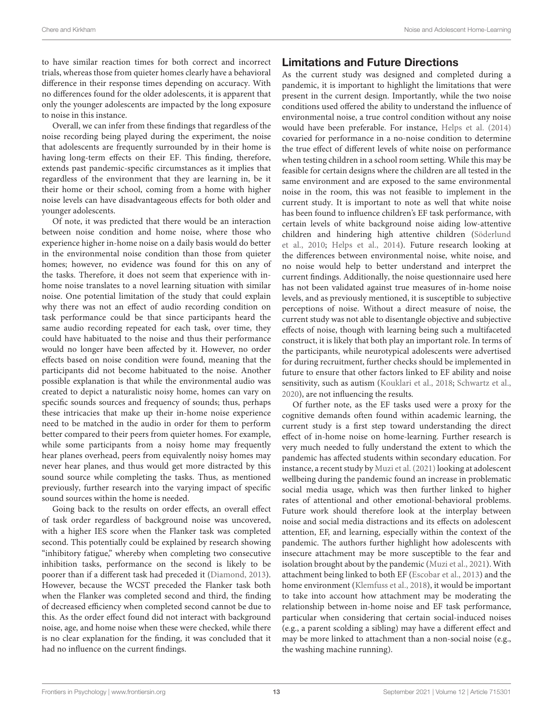to have similar reaction times for both correct and incorrect trials, whereas those from quieter homes clearly have a behavioral difference in their response times depending on accuracy. With no differences found for the older adolescents, it is apparent that only the younger adolescents are impacted by the long exposure to noise in this instance.

Overall, we can infer from these findings that regardless of the noise recording being played during the experiment, the noise that adolescents are frequently surrounded by in their home is having long-term effects on their EF. This finding, therefore, extends past pandemic-specific circumstances as it implies that regardless of the environment that they are learning in, be it their home or their school, coming from a home with higher noise levels can have disadvantageous effects for both older and younger adolescents.

Of note, it was predicted that there would be an interaction between noise condition and home noise, where those who experience higher in-home noise on a daily basis would do better in the environmental noise condition than those from quieter homes; however, no evidence was found for this on any of the tasks. Therefore, it does not seem that experience with inhome noise translates to a novel learning situation with similar noise. One potential limitation of the study that could explain why there was not an effect of audio recording condition on task performance could be that since participants heard the same audio recording repeated for each task, over time, they could have habituated to the noise and thus their performance would no longer have been affected by it. However, no order effects based on noise condition were found, meaning that the participants did not become habituated to the noise. Another possible explanation is that while the environmental audio was created to depict a naturalistic noisy home, homes can vary on specific sounds sources and frequency of sounds; thus, perhaps these intricacies that make up their in-home noise experience need to be matched in the audio in order for them to perform better compared to their peers from quieter homes. For example, while some participants from a noisy home may frequently hear planes overhead, peers from equivalently noisy homes may never hear planes, and thus would get more distracted by this sound source while completing the tasks. Thus, as mentioned previously, further research into the varying impact of specific sound sources within the home is needed.

Going back to the results on order effects, an overall effect of task order regardless of background noise was uncovered, with a higher IES score when the Flanker task was completed second. This potentially could be explained by research showing "inhibitory fatigue," whereby when completing two consecutive inhibition tasks, performance on the second is likely to be poorer than if a different task had preceded it [\(Diamond,](#page-15-9) [2013\)](#page-15-9). However, because the WCST preceded the Flanker task both when the Flanker was completed second and third, the finding of decreased efficiency when completed second cannot be due to this. As the order effect found did not interact with background noise, age, and home noise when these were checked, while there is no clear explanation for the finding, it was concluded that it had no influence on the current findings.

# Limitations and Future Directions

As the current study was designed and completed during a pandemic, it is important to highlight the limitations that were present in the current design. Importantly, while the two noise conditions used offered the ability to understand the influence of environmental noise, a true control condition without any noise would have been preferable. For instance, [Helps et al.](#page-15-27) [\(2014\)](#page-15-27) covaried for performance in a no-noise condition to determine the true effect of different levels of white noise on performance when testing children in a school room setting. While this may be feasible for certain designs where the children are all tested in the same environment and are exposed to the same environmental noise in the room, this was not feasible to implement in the current study. It is important to note as well that white noise has been found to influence children's EF task performance, with certain levels of white background noise aiding low-attentive children and hindering high attentive children [\(Söderlund](#page-16-16) [et al.,](#page-16-16) [2010;](#page-16-16) [Helps et al.,](#page-15-27) [2014\)](#page-15-27). Future research looking at the differences between environmental noise, white noise, and no noise would help to better understand and interpret the current findings. Additionally, the noise questionnaire used here has not been validated against true measures of in-home noise levels, and as previously mentioned, it is susceptible to subjective perceptions of noise. Without a direct measure of noise, the current study was not able to disentangle objective and subjective effects of noise, though with learning being such a multifaceted construct, it is likely that both play an important role. In terms of the participants, while neurotypical adolescents were advertised for during recruitment, further checks should be implemented in future to ensure that other factors linked to EF ability and noise sensitivity, such as autism [\(Kouklari et al.,](#page-15-28) [2018;](#page-15-28) [Schwartz et al.,](#page-16-17) [2020\)](#page-16-17), are not influencing the results.

Of further note, as the EF tasks used were a proxy for the cognitive demands often found within academic learning, the current study is a first step toward understanding the direct effect of in-home noise on home-learning. Further research is very much needed to fully understand the extent to which the pandemic has affected students within secondary education. For instance, a recent study by [Muzi et al.](#page-16-18) [\(2021\)](#page-16-18) looking at adolescent wellbeing during the pandemic found an increase in problematic social media usage, which was then further linked to higher rates of attentional and other emotional-behavioral problems. Future work should therefore look at the interplay between noise and social media distractions and its effects on adolescent attention, EF, and learning, especially within the context of the pandemic. The authors further highlight how adolescents with insecure attachment may be more susceptible to the fear and isolation brought about by the pandemic [\(Muzi et al.,](#page-16-18) [2021\)](#page-16-18). With attachment being linked to both EF [\(Escobar et al.,](#page-15-29) [2013\)](#page-15-29) and the home environment [\(Klemfuss et al.,](#page-15-30) [2018\)](#page-15-30), it would be important to take into account how attachment may be moderating the relationship between in-home noise and EF task performance, particular when considering that certain social-induced noises (e.g., a parent scolding a sibling) may have a different effect and may be more linked to attachment than a non-social noise (e.g., the washing machine running).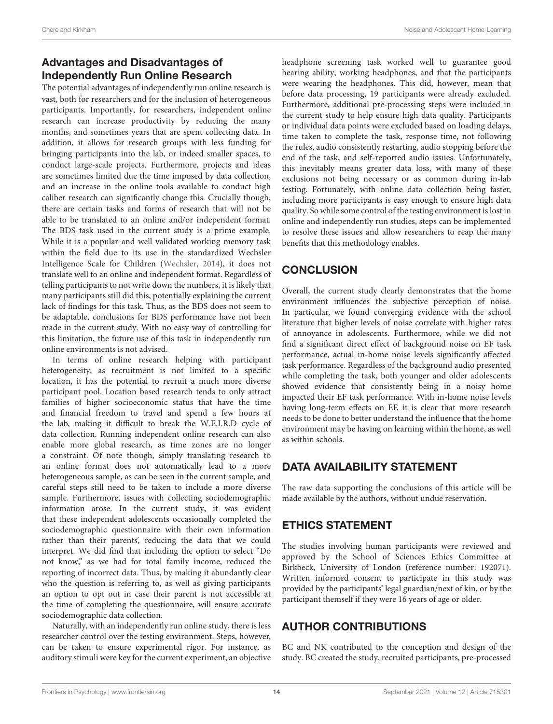# Advantages and Disadvantages of Independently Run Online Research

The potential advantages of independently run online research is vast, both for researchers and for the inclusion of heterogeneous participants. Importantly, for researchers, independent online research can increase productivity by reducing the many months, and sometimes years that are spent collecting data. In addition, it allows for research groups with less funding for bringing participants into the lab, or indeed smaller spaces, to conduct large-scale projects. Furthermore, projects and ideas are sometimes limited due the time imposed by data collection, and an increase in the online tools available to conduct high caliber research can significantly change this. Crucially though, there are certain tasks and forms of research that will not be able to be translated to an online and/or independent format. The BDS task used in the current study is a prime example. While it is a popular and well validated working memory task within the field due to its use in the standardized Wechsler Intelligence Scale for Children [\(Wechsler,](#page-16-19) [2014\)](#page-16-19), it does not translate well to an online and independent format. Regardless of telling participants to not write down the numbers, it is likely that many participants still did this, potentially explaining the current lack of findings for this task. Thus, as the BDS does not seem to be adaptable, conclusions for BDS performance have not been made in the current study. With no easy way of controlling for this limitation, the future use of this task in independently run online environments is not advised.

In terms of online research helping with participant heterogeneity, as recruitment is not limited to a specific location, it has the potential to recruit a much more diverse participant pool. Location based research tends to only attract families of higher socioeconomic status that have the time and financial freedom to travel and spend a few hours at the lab, making it difficult to break the W.E.I.R.D cycle of data collection. Running independent online research can also enable more global research, as time zones are no longer a constraint. Of note though, simply translating research to an online format does not automatically lead to a more heterogeneous sample, as can be seen in the current sample, and careful steps still need to be taken to include a more diverse sample. Furthermore, issues with collecting sociodemographic information arose. In the current study, it was evident that these independent adolescents occasionally completed the sociodemographic questionnaire with their own information rather than their parents', reducing the data that we could interpret. We did find that including the option to select "Do not know," as we had for total family income, reduced the reporting of incorrect data. Thus, by making it abundantly clear who the question is referring to, as well as giving participants an option to opt out in case their parent is not accessible at the time of completing the questionnaire, will ensure accurate sociodemographic data collection.

Naturally, with an independently run online study, there is less researcher control over the testing environment. Steps, however, can be taken to ensure experimental rigor. For instance, as auditory stimuli were key for the current experiment, an objective

headphone screening task worked well to guarantee good hearing ability, working headphones, and that the participants were wearing the headphones. This did, however, mean that before data processing, 19 participants were already excluded. Furthermore, additional pre-processing steps were included in the current study to help ensure high data quality. Participants or individual data points were excluded based on loading delays, time taken to complete the task, response time, not following the rules, audio consistently restarting, audio stopping before the end of the task, and self-reported audio issues. Unfortunately, this inevitably means greater data loss, with many of these exclusions not being necessary or as common during in-lab testing. Fortunately, with online data collection being faster, including more participants is easy enough to ensure high data quality. So while some control of the testing environment is lost in online and independently run studies, steps can be implemented to resolve these issues and allow researchers to reap the many benefits that this methodology enables.

# **CONCLUSION**

Overall, the current study clearly demonstrates that the home environment influences the subjective perception of noise. In particular, we found converging evidence with the school literature that higher levels of noise correlate with higher rates of annoyance in adolescents. Furthermore, while we did not find a significant direct effect of background noise on EF task performance, actual in-home noise levels significantly affected task performance. Regardless of the background audio presented while completing the task, both younger and older adolescents showed evidence that consistently being in a noisy home impacted their EF task performance. With in-home noise levels having long-term effects on EF, it is clear that more research needs to be done to better understand the influence that the home environment may be having on learning within the home, as well as within schools.

# DATA AVAILABILITY STATEMENT

The raw data supporting the conclusions of this article will be made available by the authors, without undue reservation.

# ETHICS STATEMENT

The studies involving human participants were reviewed and approved by the School of Sciences Ethics Committee at Birkbeck, University of London (reference number: 192071). Written informed consent to participate in this study was provided by the participants' legal guardian/next of kin, or by the participant themself if they were 16 years of age or older.

# AUTHOR CONTRIBUTIONS

BC and NK contributed to the conception and design of the study. BC created the study, recruited participants, pre-processed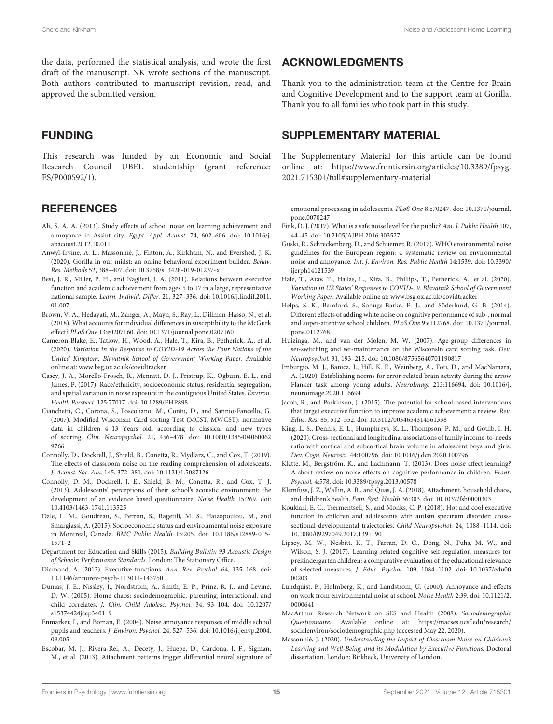the data, performed the statistical analysis, and wrote the first draft of the manuscript. NK wrote sections of the manuscript. Both authors contributed to manuscript revision, read, and approved the submitted version.

# FUNDING

This research was funded by an Economic and Social Research Council UBEL studentship (grant reference: ES/P000592/1).

## **REFERENCES**

- <span id="page-15-6"></span>Ali, S. A. A. (2013). Study effects of school noise on learning achievement and annoyance in Assiut city. Egypt. Appl. Acoust. 74, 602–606. [doi: 10.1016/j.](https://doi.org/10.1016/j.apacoust.2012.10.011) [apacoust.2012.10.011](https://doi.org/10.1016/j.apacoust.2012.10.011)
- <span id="page-15-20"></span>Anwyl-Irvine, A. L., Massonnié, J., Flitton, A., Kirkham, N., and Evershed, J. K. (2020). Gorilla in our midst: an online behavioral experiment builder. Behav. Res. Methods 52, 388–407. [doi: 10.3758/s13428-019-01237-x](https://doi.org/10.3758/s13428-019-01237-x)
- <span id="page-15-11"></span>Best, J. R., Miller, P. H., and Naglieri, J. A. (2011). Relations between executive function and academic achievement from ages 5 to 17 in a large, representative national sample. Learn. Individ. Differ. 21, 327–336. [doi: 10.1016/j.lindif.2011.](https://doi.org/10.1016/j.lindif.2011.01.007) [01.007](https://doi.org/10.1016/j.lindif.2011.01.007)
- <span id="page-15-19"></span>Brown, V. A., Hedayati, M., Zanger, A., Mayn, S., Ray, L., Dillman-Hasso, N., et al. (2018). What accounts for individual differences in susceptibility to the McGurk effect? PLoS One 13:e0207160. [doi: 10.1371/journal.pone.0207160](https://doi.org/10.1371/journal.pone.0207160)
- <span id="page-15-15"></span>Cameron-Blake, E., Tatlow, H., Wood, A., Hale, T., Kira, B., Petherick, A., et al. (2020). Variation in the Response to COVID-19 Across the Four Nations of the United Kingdom. Blavatnik School of Government Working Paper. Available online at: [www.bsg.ox.ac.uk/covidtracker](http://www.bsg.ox.ac.uk/covidtracker)
- <span id="page-15-13"></span>Casey, J. A., Morello-Frosch, R., Mennitt, D. J., Fristrup, K., Ogburn, E. L., and James, P. (2017). Race/ethnicity, socioeconomic status, residential segregation, and spatial variation in noise exposure in the contiguous United States. Environ. Health Perspect. 125:77017. [doi: 10.1289/EHP898](https://doi.org/10.1289/EHP898)
- <span id="page-15-25"></span>Cianchetti, C., Corona, S., Foscoliano, M., Contu, D., and Sannio-Fancello, G. (2007). Modified Wisconsin Card sorting Test (MCST, MWCST): normative data in children 4–13 Years old, according to classical and new types of scoring. Clin. Neuropsychol. 21, 456–478. [doi: 10.1080/1385404060062](https://doi.org/10.1080/13854040600629766) [9766](https://doi.org/10.1080/13854040600629766)
- <span id="page-15-8"></span>Connolly, D., Dockrell, J., Shield, B., Conetta, R., Mydlarz, C., and Cox, T. (2019). The effects of classroom noise on the reading comprehension of adolescents. J. Acoust. Soc. Am. 145, 372–381. [doi: 10.1121/1.5087126](https://doi.org/10.1121/1.5087126)
- <span id="page-15-5"></span>Connolly, D. M., Dockrell, J. E., Shield, B. M., Conetta, R., and Cox, T. J. (2013). Adolescents' perceptions of their school's acoustic environment: the development of an evidence based questionnaire. Noise Health 15:269. [doi:](https://doi.org/10.4103/1463-1741.113525) [10.4103/1463-1741.113525](https://doi.org/10.4103/1463-1741.113525)
- <span id="page-15-12"></span>Dale, L. M., Goudreau, S., Perron, S., Ragettli, M. S., Hatzopoulou, M., and Smargiassi, A. (2015). Socioeconomic status and environmental noise exposure in Montreal, Canada. BMC Public Health 15:205. [doi: 10.1186/s12889-015-](https://doi.org/10.1186/s12889-015-1571-2) [1571-2](https://doi.org/10.1186/s12889-015-1571-2)
- <span id="page-15-0"></span>Department for Education and Skills (2015). Building Bulletin 93 Acoustic Design of Schools: Performance Standards. London: The Stationary Office.
- <span id="page-15-9"></span>Diamond, A. (2013). Executive functions. Ann. Rev. Psychol. 64, 135–168. [doi:](https://doi.org/10.1146/annurev-psych-113011-143750) [10.1146/annurev-psych-113011-143750](https://doi.org/10.1146/annurev-psych-113011-143750)
- <span id="page-15-14"></span>Dumas, J. E., Nissley, J., Nordstrom, A., Smith, E. P., Prinz, R. J., and Levine, D. W. (2005). Home chaos: sociodemographic, parenting, interactional, and child correlates. J. Clin. Child Adolesc. Psychol. 34, 93–104. [doi: 10.1207/](https://doi.org/10.1207/s15374424jccp3401_9) [s15374424jccp3401\\_9](https://doi.org/10.1207/s15374424jccp3401_9)
- <span id="page-15-4"></span>Enmarker, I., and Boman, E. (2004). Noise annoyance responses of middle school pupils and teachers. J. Environ. Psychol. 24, 527–536. [doi: 10.1016/j.jenvp.2004.](https://doi.org/10.1016/j.jenvp.2004.09.005) [09.005](https://doi.org/10.1016/j.jenvp.2004.09.005)
- <span id="page-15-29"></span>Escobar, M. J., Rivera-Rei, A., Decety, J., Huepe, D., Cardona, J. F., Sigman, M., et al. (2013). Attachment patterns trigger differential neural signature of

### ACKNOWLEDGMENTS

Thank you to the administration team at the Centre for Brain and Cognitive Development and to the support team at Gorilla. Thank you to all families who took part in this study.

# <span id="page-15-18"></span>SUPPLEMENTARY MATERIAL

The Supplementary Material for this article can be found online at: [https://www.frontiersin.org/articles/10.3389/fpsyg.](https://www.frontiersin.org/articles/10.3389/fpsyg.2021.715301/full#supplementary-material) [2021.715301/full#supplementary-material](https://www.frontiersin.org/articles/10.3389/fpsyg.2021.715301/full#supplementary-material)

emotional processing in adolescents. PLoS One 8:e70247. [doi: 10.1371/journal.](https://doi.org/10.1371/journal.pone.0070247) [pone.0070247](https://doi.org/10.1371/journal.pone.0070247)

- <span id="page-15-2"></span>Fink, D. J. (2017). What is a safe noise level for the public? Am. J. Public Health 107, 44–45. [doi: 10.2105/AJPH.2016.303527](https://doi.org/10.2105/AJPH.2016.303527)
- <span id="page-15-3"></span>Guski, R., Schreckenberg, D., and Schuemer, R. (2017). WHO environmental noise guidelines for the European region: a systematic review on environmental noise and annoyance. Int. J. Environ. Res. Public Health 14:1539. [doi: 10.3390/](https://doi.org/10.3390/ijerph14121539) [ijerph14121539](https://doi.org/10.3390/ijerph14121539)
- <span id="page-15-16"></span>Hale, T., Atav, T., Hallas, L., Kira, B., Phillips, T., Petherick, A., et al. (2020). Variation in US States' Responses to COVID-19. Blavatnik School of Government Working Paper. Available online at: [www.bsg.ox.ac.uk/covidtracker](http://www.bsg.ox.ac.uk/covidtracker)
- <span id="page-15-27"></span>Helps, S. K., Bamford, S., Sonuga-Barke, E. J., and Söderlund, G. B. (2014). Different effects of adding white noise on cognitive performance of sub-, normal and super-attentive school children. PLoS One 9:e112768. [doi: 10.1371/journal.](https://doi.org/10.1371/journal.pone.0112768) [pone.0112768](https://doi.org/10.1371/journal.pone.0112768)
- <span id="page-15-21"></span>Huizinga, M., and van der Molen, M. W. (2007). Age-group differences in set-switching and set-maintenance on the Wisconsin card sorting task. Dev. Neuropsychol. 31, 193–215. [doi: 10.1080/87565640701190817](https://doi.org/10.1080/87565640701190817)
- <span id="page-15-24"></span>Imburgio, M. J., Banica, I., Hill, K. E., Weinberg, A., Foti, D., and MacNamara, A. (2020). Establishing norms for error-related brain activity during the arrow Flanker task among young adults. NeuroImage 213:116694. [doi: 10.1016/j.](https://doi.org/10.1016/j.neuroimage.2020.116694) [neuroimage.2020.116694](https://doi.org/10.1016/j.neuroimage.2020.116694)
- <span id="page-15-10"></span>Jacob, R., and Parkinson, J. (2015). The potential for school-based interventions that target executive function to improve academic achievement: a review. Rev. Educ. Res. 85, 512–552. [doi: 10.3102/0034654314561338](https://doi.org/10.3102/0034654314561338)
- <span id="page-15-23"></span>King, L. S., Dennis, E. L., Humphreys, K. L., Thompson, P. M., and Gotlib, I. H. (2020). Cross-sectional and longitudinal associations of family income-to-needs ratio with cortical and subcortical brain volume in adolescent boys and girls. Dev. Cogn. Neurosci. 44:100796. [doi: 10.1016/j.dcn.2020.100796](https://doi.org/10.1016/j.dcn.2020.100796)
- <span id="page-15-1"></span>Klatte, M., Bergström, K., and Lachmann, T. (2013). Does noise affect learning? A short review on noise effects on cognitive performance in children. Front. Psychol. 4:578. [doi: 10.3389/fpsyg.2013.00578](https://doi.org/10.3389/fpsyg.2013.00578)
- <span id="page-15-30"></span>Klemfuss, J. Z., Wallin, A. R., and Quas, J. A. (2018). Attachment, household chaos, and children's health. Fam. Syst. Health 36:303. [doi: 10.1037/fsh0000303](https://doi.org/10.1037/fsh0000303)
- <span id="page-15-28"></span>Kouklari, E. C., Tsermentseli, S., and Monks, C. P. (2018). Hot and cool executive function in children and adolescents with autism spectrum disorder: crosssectional developmental trajectories. Child Neuropsychol. 24, 1088–1114. [doi:](https://doi.org/10.1080/09297049.2017.1391190) [10.1080/09297049.2017.1391190](https://doi.org/10.1080/09297049.2017.1391190)
- <span id="page-15-26"></span>Lipsey, M. W., Nesbitt, K. T., Farran, D. C., Dong, N., Fuhs, M. W., and Wilson, S. J. (2017). Learning-related cognitive self-regulation measures for prekindergarten children: a comparative evaluation of the educational relevance of selected measures. J. Educ. Psychol. 109, 1084–1102. [doi: 10.1037/edu00](https://doi.org/10.1037/edu0000203) [00203](https://doi.org/10.1037/edu0000203)
- <span id="page-15-7"></span>Lundquist, P., Holmberg, K., and Landstrom, U. (2000). Annoyance and effects on work from environmental noise at school. Noise Health 2:39. [doi: 10.1121/2.](https://doi.org/10.1121/2.0000641) [0000641](https://doi.org/10.1121/2.0000641)
- <span id="page-15-17"></span>MacArthur Research Network on SES and Health (2008). Sociodemographic Questionnaire. Available online at: [https://macses.ucsf.edu/research/](https://macses.ucsf.edu/research/socialenviron/sociodemographic.php) [socialenviron/sociodemographic.php](https://macses.ucsf.edu/research/socialenviron/sociodemographic.php) (accessed May 22, 2020).
- <span id="page-15-22"></span>Massonnié, J. (2020). Understanding the Impact of Classroom Noise on Children's Learning and Well-Being, and its Modulation by Executive Functions. Doctoral dissertation. London: Birkbeck, University of London.